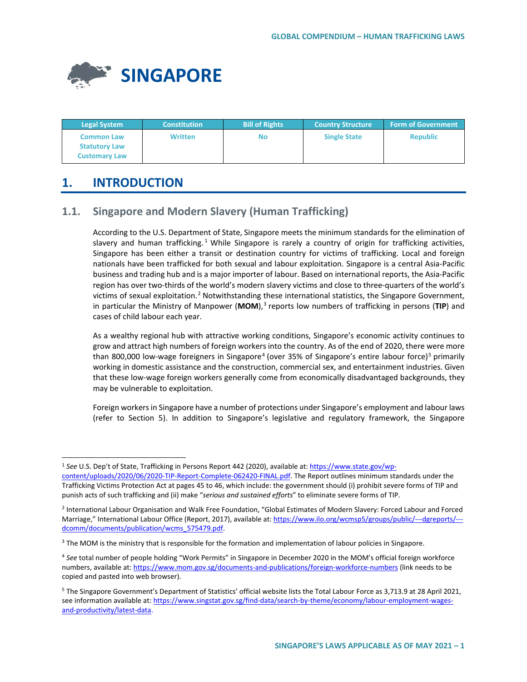

| <b>Legal System</b>                                               | <b>Constitution</b> | <b>Bill of Rights</b> | <b>Country Structure</b> | <b>Form of Government</b> |
|-------------------------------------------------------------------|---------------------|-----------------------|--------------------------|---------------------------|
| <b>Common Law</b><br><b>Statutory Law</b><br><b>Customary Law</b> | <b>Written</b>      | No                    | <b>Single State</b>      | <b>Republic</b>           |

# **1. INTRODUCTION**

# **1.1. Singapore and Modern Slavery (Human Trafficking)**

According to the U.S. Department of State, Singapore meets the minimum standards for the elimination of slavery and human trafficking.<sup>[1](#page-0-0)</sup> While Singapore is rarely a country of origin for trafficking activities, Singapore has been either a transit or destination country for victims of trafficking. Local and foreign nationals have been trafficked for both sexual and labour exploitation. Singapore is a central Asia-Pacific business and trading hub and is a major importer of labour. Based on international reports, the Asia-Pacific region has over two-thirds of the world's modern slavery victims and close to three-quarters of the world's victims of sexual exploitation.[2](#page-0-1) Notwithstanding these international statistics, the Singapore Government, in particular the Ministry of Manpower (MOM),<sup>[3](#page-0-2)</sup> reports low numbers of trafficking in persons (TIP) and cases of child labour each year.

As a wealthy regional hub with attractive working conditions, Singapore's economic activity continues to grow and attract high numbers of foreign workers into the country. As of the end of 2020, there were more than 800,000 low-wage foreigners in Singapore<sup>[4](#page-0-3)</sup> (over 3[5](#page-0-4)% of Singapore's entire labour force)<sup>5</sup> primarily working in domestic assistance and the construction, commercial sex, and entertainment industries. Given that these low-wage foreign workers generally come from economically disadvantaged backgrounds, they may be vulnerable to exploitation.

Foreign workers in Singapore have a number of protections under Singapore's employment and labour laws (refer to Section 5). In addition to Singapore's legislative and regulatory framework, the Singapore

<span id="page-0-0"></span> <sup>1</sup> *See* U.S. Dep't of State, Trafficking in Persons Report 442 (2020), available at: [https://www.state.gov/wp](https://www.state.gov/wp-content/uploads/2020/06/2020-TIP-Report-Complete-062420-FINAL.pdf)[content/uploads/2020/06/2020-TIP-Report-Complete-062420-FINAL.pdf.](https://www.state.gov/wp-content/uploads/2020/06/2020-TIP-Report-Complete-062420-FINAL.pdf) The Report outlines minimum standards under the Trafficking Victims Protection Act at pages 45 to 46, which include: the government should (i) prohibit severe forms of TIP and punish acts of such trafficking and (ii) make "*serious and sustained efforts*" to eliminate severe forms of TIP.

<span id="page-0-1"></span><sup>2</sup> International Labour Organisation and Walk Free Foundation, "Global Estimates of Modern Slavery: Forced Labour and Forced Marriage," International Labour Office (Report, 2017), available at: [https://www.ilo.org/wcmsp5/groups/public/---dgreports/--](https://www.ilo.org/wcmsp5/groups/public/---dgreports/---dcomm/documents/publication/wcms_575479.pdf) [dcomm/documents/publication/wcms\\_575479.pdf.](https://www.ilo.org/wcmsp5/groups/public/---dgreports/---dcomm/documents/publication/wcms_575479.pdf)

<span id="page-0-2"></span><sup>&</sup>lt;sup>3</sup> The MOM is the ministry that is responsible for the formation and implementation of labour policies in Singapore.

<span id="page-0-3"></span><sup>4</sup> *See* total number of people holding "Work Permits" in Singapore in December 2020 in the MOM's official foreign workforce numbers, available [at: https://www.mom.gov.sg/documents-and-publications/foreign-workforce-numbers](at:%20https://www.mom.gov.sg/documents-and-publications/foreign-workforce-numbers) (link needs to be copied and pasted into web browser).

<span id="page-0-4"></span><sup>&</sup>lt;sup>5</sup> The Singapore Government's Department of Statistics' official website lists the Total Labour Force as 3,713.9 at 28 April 2021, see information available at[: https://www.singstat.gov.sg/find-data/search-by-theme/economy/labour-employment-wages](https://www.singstat.gov.sg/find-data/search-by-theme/economy/labour-employment-wages-and-productivity/latest-data)[and-productivity/latest-data.](https://www.singstat.gov.sg/find-data/search-by-theme/economy/labour-employment-wages-and-productivity/latest-data)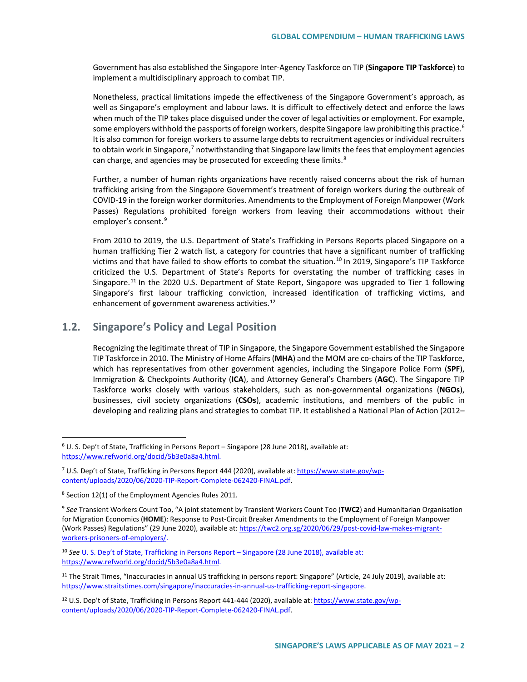Government has also established the Singapore Inter-Agency Taskforce on TIP (**Singapore TIP Taskforce**) to implement a multidisciplinary approach to combat TIP.

Nonetheless, practical limitations impede the effectiveness of the Singapore Government's approach, as well as Singapore's employment and labour laws. It is difficult to effectively detect and enforce the laws when much of the TIP takes place disguised under the cover of legal activities or employment. For example, some employers withhold the passports of foreign workers, despite Singapore law prohibiting this practice.<sup>[6](#page-1-0)</sup> It is also common for foreign workers to assume large debts to recruitment agencies or individual recruiters to obtain work in Singapore,<sup>[7](#page-1-1)</sup> notwithstanding that Singapore law limits the fees that employment agencies can charge, and agencies may be prosecuted for exceeding these limits.<sup>[8](#page-1-2)</sup>

Further, a number of human rights organizations have recently raised concerns about the risk of human trafficking arising from the Singapore Government's treatment of foreign workers during the outbreak of COVID-19 in the foreign worker dormitories. Amendments to the Employment of Foreign Manpower (Work Passes) Regulations prohibited foreign workers from leaving their accommodations without their employer's consent.<sup>[9](#page-1-3)</sup>

From 2010 to 2019, the U.S. Department of State's Trafficking in Persons Reports placed Singapore on a human trafficking Tier 2 watch list, a category for countries that have a significant number of trafficking victims and that have failed to show efforts to combat the situation.<sup>[10](#page-1-4)</sup> In 2019, Singapore's TIP Taskforce criticized the U.S. Department of State's Reports for overstating the number of trafficking cases in Singapore.<sup>[11](#page-1-5)</sup> In the 2020 U.S. Department of State Report, Singapore was upgraded to Tier 1 following Singapore's first labour trafficking conviction, increased identification of trafficking victims, and enhancement of government awareness activities.<sup>[12](#page-1-6)</sup>

## **1.2. Singapore's Policy and Legal Position**

Recognizing the legitimate threat of TIP in Singapore, the Singapore Government established the Singapore TIP Taskforce in 2010. The Ministry of Home Affairs (**MHA**) and the MOM are co-chairs of the TIP Taskforce, which has representatives from other government agencies, including the Singapore Police Form (**SPF**), Immigration & Checkpoints Authority (**ICA**), and Attorney General's Chambers (**AGC**). The Singapore TIP Taskforce works closely with various stakeholders, such as non-governmental organizations (**NGOs**), businesses, civil society organizations (**CSOs**), academic institutions, and members of the public in developing and realizing plans and strategies to combat TIP. It established a National Plan of Action (2012–

<span id="page-1-0"></span> <sup>6</sup> U. S. Dep't of State, Trafficking in Persons Report – Singapore (28 June 2018), available at: [https://www.refworld.org/docid/5b3e0a8a4.html.](https://www.refworld.org/docid/5b3e0a8a4.html)

<span id="page-1-1"></span><sup>7</sup> U.S. Dep't of State, Trafficking in Persons Report 444 (2020), available at: [https://www.state.gov/wp](https://www.state.gov/wp-content/uploads/2020/06/2020-TIP-Report-Complete-062420-FINAL.pdf)[content/uploads/2020/06/2020-TIP-Report-Complete-062420-FINAL.pdf.](https://www.state.gov/wp-content/uploads/2020/06/2020-TIP-Report-Complete-062420-FINAL.pdf) 

<span id="page-1-2"></span><sup>8</sup> Section 12(1) of the Employment Agencies Rules 2011*.* 

<span id="page-1-3"></span><sup>9</sup> *See* Transient Workers Count Too, "A joint statement by Transient Workers Count Too (**TWC2**) and Humanitarian Organisation for Migration Economics (**HOME**): Response to Post-Circuit Breaker Amendments to the Employment of Foreign Manpower (Work Passes) Regulations" (29 June 2020), available at[: https://twc2.org.sg/2020/06/29/post-covid-law-makes-migrant](https://twc2.org.sg/2020/06/29/post-covid-law-makes-migrant-workers-prisoners-of-employers/)[workers-prisoners-of-employers/.](https://twc2.org.sg/2020/06/29/post-covid-law-makes-migrant-workers-prisoners-of-employers/)

<span id="page-1-4"></span><sup>10</sup> *See* U. S. Dep't of State, Trafficking in Persons Report – Singapore (28 June 2018), available at: https://www.refworld.org/docid/5b3e0a8a4.html.

<span id="page-1-5"></span><sup>&</sup>lt;sup>11</sup> The Strait Times, "Inaccuracies in annual US trafficking in persons report: Singapore" (Article, 24 July 2019), available at: [https://www.straitstimes.com/singapore/inaccuracies-in-annual-us-trafficking-report-singapore.](https://www.straitstimes.com/singapore/inaccuracies-in-annual-us-trafficking-report-singapore)

<span id="page-1-6"></span><sup>&</sup>lt;sup>12</sup> U.S. Dep't of State, Trafficking in Persons Report 441-444 (2020), available at: [https://www.state.gov/wp](https://www.state.gov/wp-content/uploads/2020/06/2020-TIP-Report-Complete-062420-FINAL.pdf)[content/uploads/2020/06/2020-TIP-Report-Complete-062420-FINAL.pdf.](https://www.state.gov/wp-content/uploads/2020/06/2020-TIP-Report-Complete-062420-FINAL.pdf)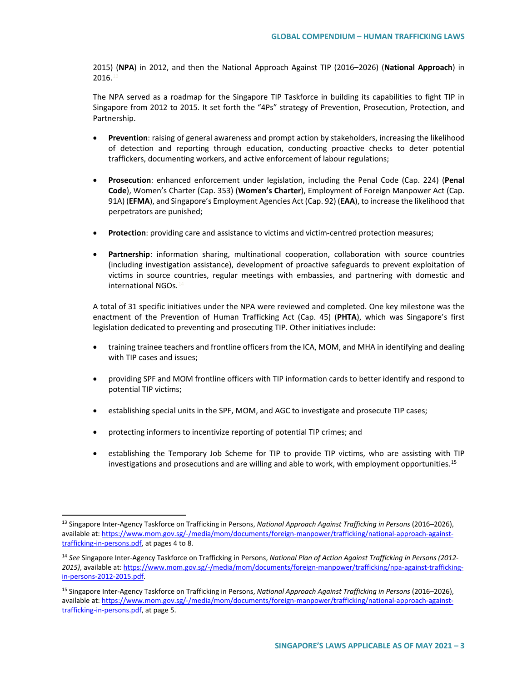2015) (**NPA**) in 2012, and then the National Approach Against TIP (2016–2026) (**National Approach**) in  $2016.1$ 

The NPA served as a roadmap for the Singapore TIP Taskforce in building its capabilities to fight TIP in Singapore from 2012 to 2015. It set forth the "4Ps" strategy of Prevention, Prosecution, Protection, and Partnership.

- **Prevention**: raising of general awareness and prompt action by stakeholders, increasing the likelihood of detection and reporting through education, conducting proactive checks to deter potential traffickers, documenting workers, and active enforcement of labour regulations;
- **Prosecution**: enhanced enforcement under legislation, including the Penal Code (Cap. 224) (**Penal Code**), Women's Charter (Cap. 353) (**Women's Charter**), Employment of Foreign Manpower Act (Cap. 91A) (**EFMA**), and Singapore's Employment Agencies Act (Cap. 92) (**EAA**), to increase the likelihood that perpetrators are punished;
- **Protection**: providing care and assistance to victims and victim-centred protection measures;
- **Partnership**: information sharing, multinational cooperation, collaboration with source countries (including investigation assistance), development of proactive safeguards to prevent exploitation of victims in source countries, regular meetings with embassies, and partnering with domestic and international NGOs.

A total of 31 specific initiatives under the NPA were reviewed and completed. One key milestone was the enactment of the Prevention of Human Trafficking Act (Cap. 45) (**PHTA**), which was Singapore's first legislation dedicated to preventing and prosecuting TIP. Other initiatives include:

- training trainee teachers and frontline officers from the ICA, MOM, and MHA in identifying and dealing with TIP cases and issues;
- providing SPF and MOM frontline officers with TIP information cards to better identify and respond to potential TIP victims;
- establishing special units in the SPF, MOM, and AGC to investigate and prosecute TIP cases;
- protecting informers to incentivize reporting of potential TIP crimes; and
- establishing the Temporary Job Scheme for TIP to provide TIP victims, who are assisting with TIP investigations and prosecutions and are willing and able to work, with employment opportunities.[15](#page-2-2)

<span id="page-2-0"></span> <sup>13</sup> Singapore Inter-Agency Taskforce on Trafficking in Persons, *National Approach Against Trafficking in Persons* (2016–2026), available at[: https://www.mom.gov.sg/-/media/mom/documents/foreign-manpower/trafficking/national-approach-against](https://www.mom.gov.sg/-/media/mom/documents/foreign-manpower/trafficking/national-approach-against-trafficking-in-persons.pdf)[trafficking-in-persons.pdf,](https://www.mom.gov.sg/-/media/mom/documents/foreign-manpower/trafficking/national-approach-against-trafficking-in-persons.pdf) at pages 4 to 8.

<span id="page-2-1"></span><sup>14</sup> *See* Singapore Inter-Agency Taskforce on Trafficking in Persons, *National Plan of Action Against Trafficking in Persons (2012- 2015)*, available at[: https://www.mom.gov.sg/-/media/mom/documents/foreign-manpower/trafficking/npa-against-trafficking](https://www.mom.gov.sg/-/media/mom/documents/foreign-manpower/trafficking/npa-against-trafficking-in-persons-2012-2015.pdf)[in-persons-2012-2015.pdf.](https://www.mom.gov.sg/-/media/mom/documents/foreign-manpower/trafficking/npa-against-trafficking-in-persons-2012-2015.pdf)

<span id="page-2-2"></span><sup>15</sup> Singapore Inter-Agency Taskforce on Trafficking in Persons, *National Approach Against Trafficking in Persons* (2016–2026), available at[: https://www.mom.gov.sg/-/media/mom/documents/foreign-manpower/trafficking/national-approach-against](https://www.mom.gov.sg/-/media/mom/documents/foreign-manpower/trafficking/national-approach-against-trafficking-in-persons.pdf)[trafficking-in-persons.pdf,](https://www.mom.gov.sg/-/media/mom/documents/foreign-manpower/trafficking/national-approach-against-trafficking-in-persons.pdf) at page 5.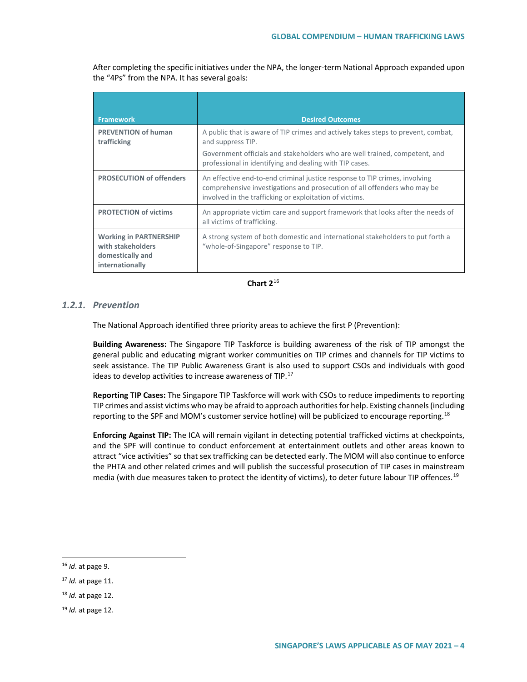After completing the specific initiatives under the NPA, the longer-term National Approach expanded upon the "4Ps" from the NPA. It has several goals:

| <b>Framework</b>                                                                          | <b>Desired Outcomes</b>                                                                                                                                                                                           |
|-------------------------------------------------------------------------------------------|-------------------------------------------------------------------------------------------------------------------------------------------------------------------------------------------------------------------|
| <b>PREVENTION of human</b><br>trafficking                                                 | A public that is aware of TIP crimes and actively takes steps to prevent, combat,<br>and suppress TIP.                                                                                                            |
|                                                                                           | Government officials and stakeholders who are well trained, competent, and<br>professional in identifying and dealing with TIP cases.                                                                             |
| <b>PROSECUTION of offenders</b>                                                           | An effective end-to-end criminal justice response to TIP crimes, involving<br>comprehensive investigations and prosecution of all offenders who may be<br>involved in the trafficking or exploitation of victims. |
| <b>PROTECTION of victims</b>                                                              | An appropriate victim care and support framework that looks after the needs of<br>all victims of trafficking.                                                                                                     |
| <b>Working in PARTNERSHIP</b><br>with stakeholders<br>domestically and<br>internationally | A strong system of both domestic and international stakeholders to put forth a<br>"whole-of-Singapore" response to TIP.                                                                                           |

## **Chart 2**[16](#page-3-0)

## *1.2.1. Prevention*

The National Approach identified three priority areas to achieve the first P (Prevention):

**Building Awareness:** The Singapore TIP Taskforce is building awareness of the risk of TIP amongst the general public and educating migrant worker communities on TIP crimes and channels for TIP victims to seek assistance. The TIP Public Awareness Grant is also used to support CSOs and individuals with good ideas to develop activities to increase awareness of TIP.<sup>[17](#page-3-1)</sup>

**Reporting TIP Cases:** The Singapore TIP Taskforce will work with CSOs to reduce impediments to reporting TIP crimes and assist victims who may be afraid to approach authorities for help. Existing channels (including reporting to the SPF and MOM's customer service hotline) will be publicized to encourage reporting.<sup>[18](#page-3-2)</sup>

**Enforcing Against TIP:** The ICA will remain vigilant in detecting potential trafficked victims at checkpoints, and the SPF will continue to conduct enforcement at entertainment outlets and other areas known to attract "vice activities" so that sex trafficking can be detected early. The MOM will also continue to enforce the PHTA and other related crimes and will publish the successful prosecution of TIP cases in mainstream media (with due measures taken to protect the identity of victims), to deter future labour TIP offences.<sup>[19](#page-3-3)</sup>

<span id="page-3-0"></span> <sup>16</sup> *Id*. at page 9.

<span id="page-3-1"></span><sup>17</sup> *Id.* at page 11.

<span id="page-3-2"></span><sup>18</sup> *Id.* at page 12.

<span id="page-3-3"></span><sup>19</sup> *Id.* at page 12*.*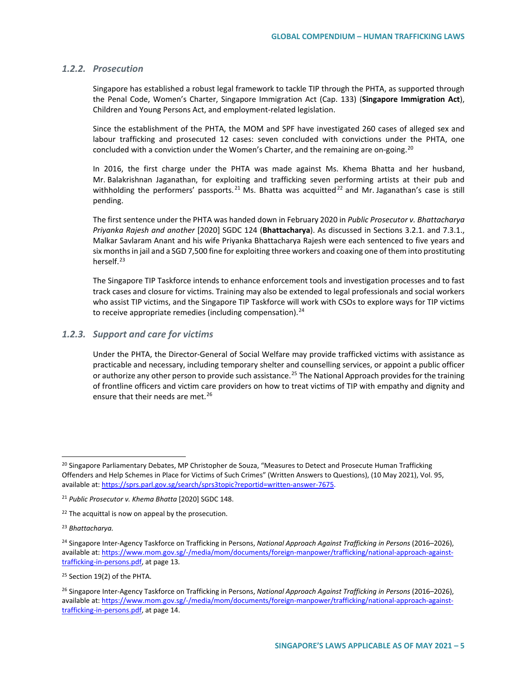### *1.2.2. Prosecution*

Singapore has established a robust legal framework to tackle TIP through the PHTA, as supported through the Penal Code, Women's Charter, Singapore Immigration Act (Cap. 133) (**Singapore Immigration Act**), Children and Young Persons Act, and employment-related legislation.

Since the establishment of the PHTA, the MOM and SPF have investigated 260 cases of alleged sex and labour trafficking and prosecuted 12 cases: seven concluded with convictions under the PHTA, one concluded with a conviction under the Women's Charter, and the remaining are on-going.<sup>[20](#page-4-0)</sup>

In 2016, the first charge under the PHTA was made against Ms. Khema Bhatta and her husband, Mr. Balakrishnan Jaganathan, for exploiting and trafficking seven performing artists at their pub and withholding the performers' passports.<sup>[21](#page-4-1)</sup> Ms. Bhatta was acquitted<sup>[22](#page-4-2)</sup> and Mr. Jaganathan's case is still pending.

The first sentence under the PHTA was handed down in February 2020 in *Public Prosecutor v. Bhattacharya Priyanka Rajesh and another* [2020] SGDC 124 (**Bhattacharya**). As discussed in Sections 3.2.1. and 7.3.1., Malkar Savlaram Anant and his wife Priyanka Bhattacharya Rajesh were each sentenced to five years and six months in jail and a SGD 7,500 fine for exploiting three workers and coaxing one of them into prostituting herself.<sup>[23](#page-4-3)</sup>

The Singapore TIP Taskforce intends to enhance enforcement tools and investigation processes and to fast track cases and closure for victims. Training may also be extended to legal professionals and social workers who assist TIP victims, and the Singapore TIP Taskforce will work with CSOs to explore ways for TIP victims to receive appropriate remedies (including compensation).<sup>[24](#page-4-4)</sup>

#### *1.2.3. Support and care for victims*

Under the PHTA, the Director-General of Social Welfare may provide trafficked victims with assistance as practicable and necessary, including temporary shelter and counselling services, or appoint a public officer or authorize any other person to provide such assistance.<sup>[25](#page-4-5)</sup> The National Approach provides for the training of frontline officers and victim care providers on how to treat victims of TIP with empathy and dignity and ensure that their needs are met.<sup>[26](#page-4-6)</sup>

<span id="page-4-0"></span><sup>&</sup>lt;sup>20</sup> Singapore Parliamentary Debates, MP Christopher de Souza, "Measures to Detect and Prosecute Human Trafficking Offenders and Help Schemes in Place for Victims of Such Crimes" (Written Answers to Questions), (10 May 2021), Vol. 95, available at[: https://sprs.parl.gov.sg/search/sprs3topic?reportid=written-answer-7675.](https://sprs.parl.gov.sg/search/sprs3topic?reportid=written-answer-7675)

<span id="page-4-1"></span><sup>21</sup> *Public Prosecutor v. Khema Bhatta* [2020] SGDC 148.

<span id="page-4-2"></span> $22$  The acquittal is now on appeal by the prosecution.

<span id="page-4-3"></span><sup>23</sup> *Bhattacharya.*

<span id="page-4-4"></span><sup>24</sup> Singapore Inter-Agency Taskforce on Trafficking in Persons, *National Approach Against Trafficking in Persons* (2016–2026), available at[: https://www.mom.gov.sg/-/media/mom/documents/foreign-manpower/trafficking/national-approach-against](https://www.mom.gov.sg/-/media/mom/documents/foreign-manpower/trafficking/national-approach-against-trafficking-in-persons.pdf)[trafficking-in-persons.pdf,](https://www.mom.gov.sg/-/media/mom/documents/foreign-manpower/trafficking/national-approach-against-trafficking-in-persons.pdf) at page 13*.* 

<span id="page-4-5"></span><sup>&</sup>lt;sup>25</sup> Section 19(2) of the PHTA.

<span id="page-4-6"></span><sup>26</sup> Singapore Inter-Agency Taskforce on Trafficking in Persons, *National Approach Against Trafficking in Persons* (2016–2026), available at[: https://www.mom.gov.sg/-/media/mom/documents/foreign-manpower/trafficking/national-approach-against](https://www.mom.gov.sg/-/media/mom/documents/foreign-manpower/trafficking/national-approach-against-trafficking-in-persons.pdf)[trafficking-in-persons.pdf,](https://www.mom.gov.sg/-/media/mom/documents/foreign-manpower/trafficking/national-approach-against-trafficking-in-persons.pdf) at page 14.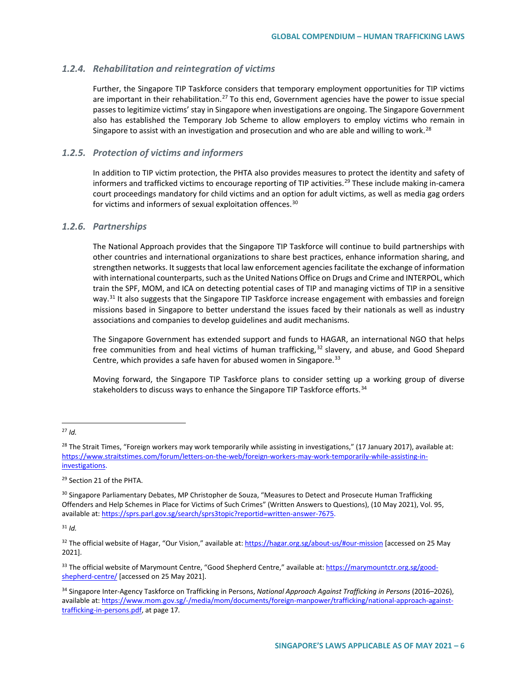## *1.2.4. Rehabilitation and reintegration of victims*

Further, the Singapore TIP Taskforce considers that temporary employment opportunities for TIP victims are important in their rehabilitation.<sup>[27](#page-5-0)</sup> To this end, Government agencies have the power to issue special passes to legitimize victims' stay in Singapore when investigations are ongoing. The Singapore Government also has established the Temporary Job Scheme to allow employers to employ victims who remain in Singapore to assist with an investigation and prosecution and who are able and willing to work.<sup>[28](#page-5-1)</sup>

## *1.2.5. Protection of victims and informers*

In addition to TIP victim protection, the PHTA also provides measures to protect the identity and safety of informers and trafficked victims to encourage reporting of TIP activities.<sup>[29](#page-5-2)</sup> These include making in-camera court proceedings mandatory for child victims and an option for adult victims, as well as media gag orders for victims and informers of sexual exploitation offences.<sup>[30](#page-5-3)</sup>

## *1.2.6. Partnerships*

The National Approach provides that the Singapore TIP Taskforce will continue to build partnerships with other countries and international organizations to share best practices, enhance information sharing, and strengthen networks. It suggests that local law enforcement agencies facilitate the exchange of information with international counterparts, such as the United Nations Office on Drugs and Crime and INTERPOL, which train the SPF, MOM, and ICA on detecting potential cases of TIP and managing victims of TIP in a sensitive way.<sup>[31](#page-5-4)</sup> It also suggests that the Singapore TIP Taskforce increase engagement with embassies and foreign missions based in Singapore to better understand the issues faced by their nationals as well as industry associations and companies to develop guidelines and audit mechanisms.

The Singapore Government has extended support and funds to HAGAR, an international NGO that helps free communities from and heal victims of human trafficking,<sup>[32](#page-5-5)</sup> slavery, and abuse, and Good Shepard Centre, which provides a safe haven for abused women in Singapore.<sup>[33](#page-5-6)</sup>

Moving forward, the Singapore TIP Taskforce plans to consider setting up a working group of diverse stakeholders to discuss ways to enhance the Singapore TIP Taskforce efforts.<sup>[34](#page-5-7)</sup>

<span id="page-5-0"></span>27 *Id.*

<span id="page-5-2"></span><sup>29</sup> Section 21 of the PHTA.

<span id="page-5-4"></span> $31$  *Id.* 

<span id="page-5-5"></span><sup>32</sup> The official website of Hagar, "Our Vision," available at[: https://hagar.org.sg/about-us/#our-mission](https://hagar.org.sg/about-us/#our-mission) [accessed on 25 May 2021].

<span id="page-5-6"></span>33 The official website of Marymount Centre, "Good Shepherd Centre," available at: [https://marymountctr.org.sg/good](https://marymountctr.org.sg/good-shepherd-centre/)[shepherd-centre/](https://marymountctr.org.sg/good-shepherd-centre/) [accessed on 25 May 2021].

<span id="page-5-1"></span><sup>&</sup>lt;sup>28</sup> The Strait Times, "Foreign workers may work temporarily while assisting in investigations," (17 January 2017), available at: [https://www.straitstimes.com/forum/letters-on-the-web/foreign-workers-may-work-temporarily-while-assisting-in](https://www.straitstimes.com/forum/letters-on-the-web/foreign-workers-may-work-temporarily-while-assisting-in-investigations)[investigations.](https://www.straitstimes.com/forum/letters-on-the-web/foreign-workers-may-work-temporarily-while-assisting-in-investigations)

<span id="page-5-3"></span><sup>&</sup>lt;sup>30</sup> Singapore Parliamentary Debates, MP Christopher de Souza, "Measures to Detect and Prosecute Human Trafficking Offenders and Help Schemes in Place for Victims of Such Crimes" (Written Answers to Questions), (10 May 2021), Vol. 95, available at[: https://sprs.parl.gov.sg/search/sprs3topic?reportid=written-answer-7675.](https://sprs.parl.gov.sg/search/sprs3topic?reportid=written-answer-7675)

<span id="page-5-7"></span><sup>34</sup> Singapore Inter-Agency Taskforce on Trafficking in Persons, *National Approach Against Trafficking in Persons* (2016–2026), available at[: https://www.mom.gov.sg/-/media/mom/documents/foreign-manpower/trafficking/national-approach-against](https://www.mom.gov.sg/-/media/mom/documents/foreign-manpower/trafficking/national-approach-against-trafficking-in-persons.pdf)[trafficking-in-persons.pdf,](https://www.mom.gov.sg/-/media/mom/documents/foreign-manpower/trafficking/national-approach-against-trafficking-in-persons.pdf) at page 17*.*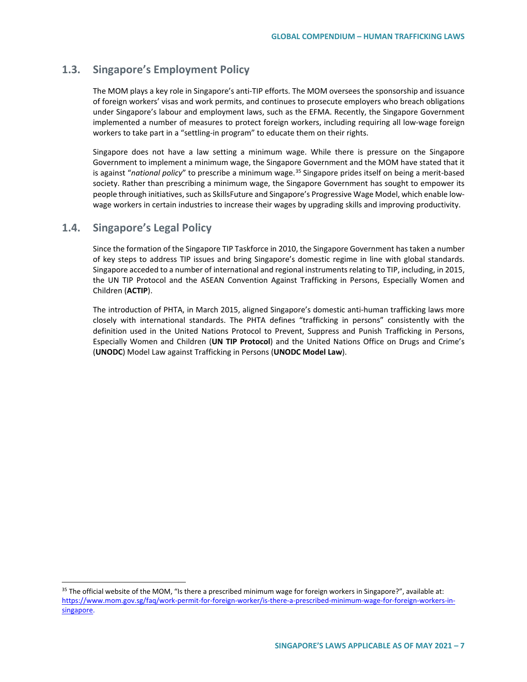# **1.3. Singapore's Employment Policy**

The MOM plays a key role in Singapore's anti-TIP efforts. The MOM oversees the sponsorship and issuance of foreign workers' visas and work permits, and continues to prosecute employers who breach obligations under Singapore's labour and employment laws, such as the EFMA. Recently, the Singapore Government implemented a number of measures to protect foreign workers, including requiring all low-wage foreign workers to take part in a "settling-in program" to educate them on their rights.

Singapore does not have a law setting a minimum wage. While there is pressure on the Singapore Government to implement a minimum wage, the Singapore Government and the MOM have stated that it is against "national policy" to prescribe a minimum wage.<sup>[35](#page-6-0)</sup> Singapore prides itself on being a merit-based society. Rather than prescribing a minimum wage, the Singapore Government has sought to empower its people through initiatives, such as SkillsFuture and Singapore's Progressive Wage Model, which enable lowwage workers in certain industries to increase their wages by upgrading skills and improving productivity.

# **1.4. Singapore's Legal Policy**

Since the formation of the Singapore TIP Taskforce in 2010, the Singapore Government has taken a number of key steps to address TIP issues and bring Singapore's domestic regime in line with global standards. Singapore acceded to a number of international and regional instruments relating to TIP, including, in 2015, the UN TIP Protocol and the ASEAN Convention Against Trafficking in Persons, Especially Women and Children (**ACTIP**).

The introduction of PHTA, in March 2015, aligned Singapore's domestic anti-human trafficking laws more closely with international standards. The PHTA defines "trafficking in persons" consistently with the definition used in the United Nations Protocol to Prevent, Suppress and Punish Trafficking in Persons, Especially Women and Children (**UN TIP Protocol**) and the United Nations Office on Drugs and Crime's (**UNODC**) Model Law against Trafficking in Persons (**UNODC Model Law**).

<span id="page-6-0"></span> $35$  The official website of the MOM, "Is there a prescribed minimum wage for foreign workers in Singapore?", available at: [https://www.mom.gov.sg/faq/work-permit-for-foreign-worker/is-there-a-prescribed-minimum-wage-for-foreign-workers-in](https://www.mom.gov.sg/faq/work-permit-for-foreign-worker/is-there-a-prescribed-minimum-wage-for-foreign-workers-in-singapore)[singapore.](https://www.mom.gov.sg/faq/work-permit-for-foreign-worker/is-there-a-prescribed-minimum-wage-for-foreign-workers-in-singapore)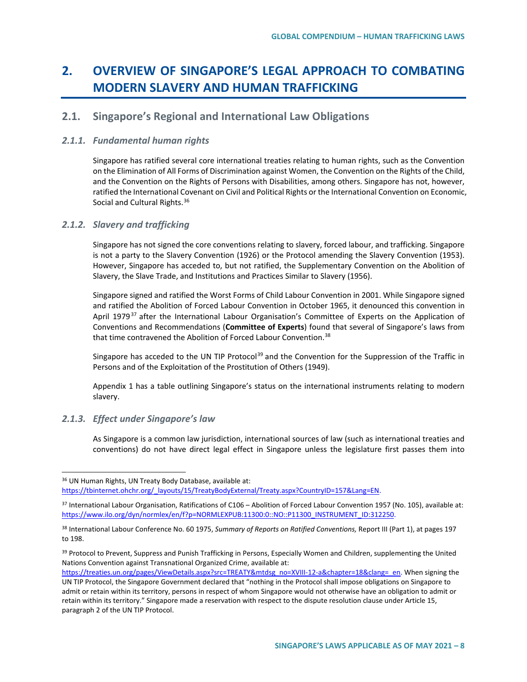# **2. OVERVIEW OF SINGAPORE'S LEGAL APPROACH TO COMBATING MODERN SLAVERY AND HUMAN TRAFFICKING**

# **2.1. Singapore's Regional and International Law Obligations**

## *2.1.1. Fundamental human rights*

Singapore has ratified several core international treaties relating to human rights, such as the Convention on the Elimination of All Forms of Discrimination against Women, the Convention on the Rights of the Child, and the Convention on the Rights of Persons with Disabilities, among others. Singapore has not, however, ratified the International Covenant on Civil and Political Rights or the International Convention on Economic, Social and Cultural Rights.<sup>[36](#page-7-0)</sup>

#### *2.1.2. Slavery and trafficking*

Singapore has not signed the core conventions relating to slavery, forced labour, and trafficking. Singapore is not a party to the Slavery Convention (1926) or the Protocol amending the Slavery Convention (1953). However, Singapore has acceded to, but not ratified, the Supplementary Convention on the Abolition of Slavery, the Slave Trade, and Institutions and Practices Similar to Slavery (1956).

Singapore signed and ratified the Worst Forms of Child Labour Convention in 2001. While Singapore signed and ratified the Abolition of Forced Labour Convention in October 1965, it denounced this convention in April 1979<sup>[37](#page-7-1)</sup> after the International Labour Organisation's Committee of Experts on the Application of Conventions and Recommendations (**Committee of Experts**) found that several of Singapore's laws from that time contravened the Abolition of Forced Labour Convention.<sup>[38](#page-7-2)</sup>

Singapore has acceded to the UN TIP Protocol<sup>[39](#page-7-3)</sup> and the Convention for the Suppression of the Traffic in Persons and of the Exploitation of the Prostitution of Others (1949).

Appendix 1 has a table outlining Singapore's status on the international instruments relating to modern slavery.

## *2.1.3. Effect under Singapore's law*

As Singapore is a common law jurisdiction, international sources of law (such as international treaties and conventions) do not have direct legal effect in Singapore unless the legislature first passes them into

<span id="page-7-0"></span> <sup>36</sup> UN Human Rights, UN Treaty Body Database, available at: [https://tbinternet.ohchr.org/\\_layouts/15/TreatyBodyExternal/Treaty.aspx?CountryID=157&Lang=EN.](https://tbinternet.ohchr.org/_layouts/15/TreatyBodyExternal/Treaty.aspx?CountryID=157&Lang=EN)

<span id="page-7-1"></span><sup>37</sup> International Labour Organisation, Ratifications of C106 – Abolition of Forced Labour Convention 1957 (No. 105), available at: [https://www.ilo.org/dyn/normlex/en/f?p=NORMLEXPUB:11300:0::NO::P11300\\_INSTRUMENT\\_ID:312250.](https://www.ilo.org/dyn/normlex/en/f?p=NORMLEXPUB:11300:0::NO::P11300_INSTRUMENT_ID:312250)

<span id="page-7-2"></span><sup>38</sup> International Labour Conference No. 60 1975, *Summary of Reports on Ratified Conventions,* Report III (Part 1), at pages 197 to 198.

<span id="page-7-3"></span><sup>39</sup> Protocol to Prevent, Suppress and Punish Trafficking in Persons, Especially Women and Children, supplementing the United Nations Convention against Transnational Organized Crime, available at:

[https://treaties.un.org/pages/ViewDetails.aspx?src=TREATY&mtdsg\\_no=XVIII-12-a&chapter=18&clang=\\_en.](https://treaties.un.org/pages/ViewDetails.aspx?src=TREATY&mtdsg_no=XVIII-12-a&chapter=18&clang=_en) When signing the UN TIP Protocol, the Singapore Government declared that "nothing in the Protocol shall impose obligations on Singapore to admit or retain within its territory, persons in respect of whom Singapore would not otherwise have an obligation to admit or retain within its territory." Singapore made a reservation with respect to the dispute resolution clause under Article 15, paragraph 2 of the UN TIP Protocol.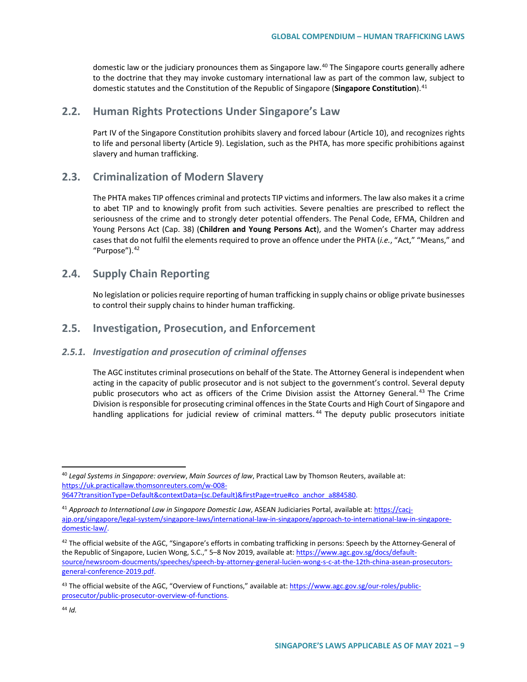domestic law or the judiciary pronounces them as Singapore law.<sup>[40](#page-8-0)</sup> The Singapore courts generally adhere to the doctrine that they may invoke customary international law as part of the common law, subject to domestic statutes and the Constitution of the Republic of Singapore (**Singapore Constitution**).[41](#page-8-1)

## **2.2. Human Rights Protections Under Singapore's Law**

Part IV of the Singapore Constitution prohibits slavery and forced labour (Article 10), and recognizes rights to life and personal liberty (Article 9). Legislation, such as the PHTA, has more specific prohibitions against slavery and human trafficking.

## **2.3. Criminalization of Modern Slavery**

The PHTA makes TIP offences criminal and protects TIP victims and informers. The law also makes it a crime to abet TIP and to knowingly profit from such activities. Severe penalties are prescribed to reflect the seriousness of the crime and to strongly deter potential offenders. The Penal Code, EFMA, Children and Young Persons Act (Cap. 38) (**Children and Young Persons Act**), and the Women's Charter may address cases that do not fulfil the elements required to prove an offence under the PHTA (*i.e.*, "Act," "Means," and "Purpose").<sup>[42](#page-8-2)</sup>

## **2.4. Supply Chain Reporting**

No legislation or policies require reporting of human trafficking in supply chains or oblige private businesses to control their supply chains to hinder human trafficking.

## **2.5. Investigation, Prosecution, and Enforcement**

#### *2.5.1. Investigation and prosecution of criminal offenses*

The AGC institutes criminal prosecutions on behalf of the State. The Attorney General is independent when acting in the capacity of public prosecutor and is not subject to the government's control. Several deputy public prosecutors who act as officers of the Crime Division assist the Attorney General.<sup>[43](#page-8-3)</sup> The Crime Division is responsible for prosecuting criminal offences in the State Courts and High Court of Singapore and handling applications for judicial review of criminal matters.<sup>[44](#page-8-4)</sup> The deputy public prosecutors initiate

<span id="page-8-0"></span> <sup>40</sup> *Legal Systems in Singapore: overview*, *Main Sources of law*, Practical Law by Thomson Reuters, available at: [https://uk.practicallaw.thomsonreuters.com/w-008-](https://uk.practicallaw.thomsonreuters.com/w-008-9647?transitionType=Default&contextData=(sc.Default)&firstPage=true#co_anchor_a884580) [9647?transitionType=Default&contextData=\(sc.Default\)&firstPage=true#co\\_anchor\\_a884580.](https://uk.practicallaw.thomsonreuters.com/w-008-9647?transitionType=Default&contextData=(sc.Default)&firstPage=true#co_anchor_a884580)

<span id="page-8-1"></span><sup>41</sup> *Approach to International Law in Singapore Domestic Law*, ASEAN Judiciaries Portal, available at: [https://cacj](https://cacj-ajp.org/singapore/legal-system/singapore-laws/international-law-in-singapore/approach-to-international-law-in-singapore-domestic-law/)[ajp.org/singapore/legal-system/singapore-laws/international-law-in-singapore/approach-to-international-law-in-singapore](https://cacj-ajp.org/singapore/legal-system/singapore-laws/international-law-in-singapore/approach-to-international-law-in-singapore-domestic-law/)[domestic-law/.](https://cacj-ajp.org/singapore/legal-system/singapore-laws/international-law-in-singapore/approach-to-international-law-in-singapore-domestic-law/)

<span id="page-8-2"></span> $42$  The official website of the AGC, "Singapore's efforts in combating trafficking in persons: Speech by the Attorney-General of the Republic of Singapore, Lucien Wong, S.C.," 5–8 Nov 2019, available at[: https://www.agc.gov.sg/docs/default](https://www.agc.gov.sg/docs/default-source/newsroom-doucments/speeches/speech-by-attorney-general-lucien-wong-s-c-at-the-12th-china-asean-prosecutors-general-conference-2019.pdf)[source/newsroom-doucments/speeches/speech-by-attorney-general-lucien-wong-s-c-at-the-12th-china-asean-prosecutors](https://www.agc.gov.sg/docs/default-source/newsroom-doucments/speeches/speech-by-attorney-general-lucien-wong-s-c-at-the-12th-china-asean-prosecutors-general-conference-2019.pdf)[general-conference-2019.pdf.](https://www.agc.gov.sg/docs/default-source/newsroom-doucments/speeches/speech-by-attorney-general-lucien-wong-s-c-at-the-12th-china-asean-prosecutors-general-conference-2019.pdf)

<span id="page-8-4"></span><span id="page-8-3"></span><sup>&</sup>lt;sup>43</sup> The official website of the AGC, "Overview of Functions," available at: [https://www.agc.gov.sg/our-roles/public](https://www.agc.gov.sg/our-roles/public-prosecutor/public-prosecutor-overview-of-functions)[prosecutor/public-prosecutor-overview-of-functions.](https://www.agc.gov.sg/our-roles/public-prosecutor/public-prosecutor-overview-of-functions)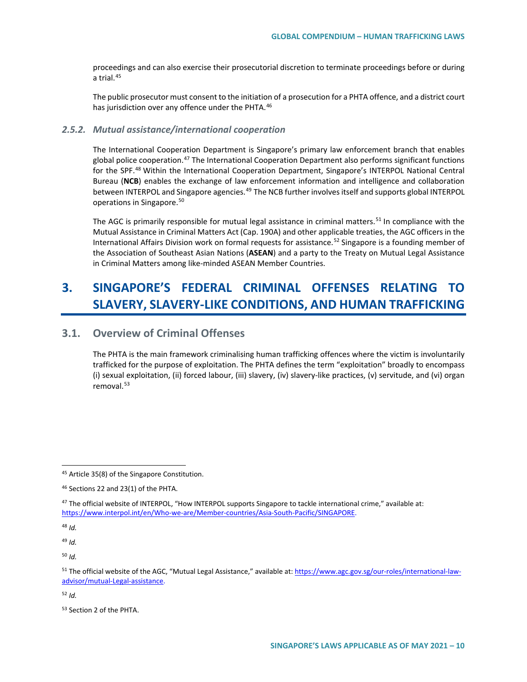proceedings and can also exercise their prosecutorial discretion to terminate proceedings before or during a trial.[45](#page-9-0)

The public prosecutor must consent to the initiation of a prosecution for a PHTA offence, and a district court has jurisdiction over any offence under the PHTA.<sup>[46](#page-9-1)</sup>

#### *2.5.2. Mutual assistance/international cooperation*

The International Cooperation Department is Singapore's primary law enforcement branch that enables global police cooperation.<sup>[47](#page-9-2)</sup> The International Cooperation Department also performs significant functions for the SPF.<sup>[48](#page-9-3)</sup> Within the International Cooperation Department, Singapore's INTERPOL National Central Bureau (**NCB**) enables the exchange of law enforcement information and intelligence and collaboration between INTERPOL and Singapore agencies.<sup>[49](#page-9-4)</sup> The NCB further involves itself and supports global INTERPOL operations in Singapore.[50](#page-9-5)

The AGC is primarily responsible for mutual legal assistance in criminal matters.<sup>[51](#page-9-6)</sup> In compliance with the Mutual Assistance in Criminal Matters Act (Cap. 190A) and other applicable treaties, the AGC officers in the International Affairs Division work on formal requests for assistance.<sup>[52](#page-9-7)</sup> Singapore is a founding member of the Association of Southeast Asian Nations (**ASEAN**) and a party to the Treaty on Mutual Legal Assistance in Criminal Matters among like-minded ASEAN Member Countries.

# **3. SINGAPORE'S FEDERAL CRIMINAL OFFENSES RELATING TO SLAVERY, SLAVERY-LIKE CONDITIONS, AND HUMAN TRAFFICKING**

# **3.1. Overview of Criminal Offenses**

The PHTA is the main framework criminalising human trafficking offences where the victim is involuntarily trafficked for the purpose of exploitation. The PHTA defines the term "exploitation" broadly to encompass (i) sexual exploitation, (ii) forced labour, (iii) slavery, (iv) slavery-like practices, (v) servitude, and (vi) organ removal.[53](#page-9-8)

<span id="page-9-3"></span><sup>48</sup> *Id.*

<span id="page-9-4"></span><sup>49</sup> *Id.* 

<span id="page-9-5"></span><sup>50</sup> *Id.* 

<span id="page-9-7"></span><sup>52</sup> *Id.* 

<span id="page-9-8"></span><sup>53</sup> Section 2 of the PHTA.

<span id="page-9-0"></span> <sup>45</sup> Article 35(8) of the Singapore Constitution.

<span id="page-9-1"></span><sup>46</sup> Sections 22 and 23(1) of the PHTA.

<span id="page-9-2"></span><sup>&</sup>lt;sup>47</sup> The official website of INTERPOL, "How INTERPOL supports Singapore to tackle international crime," available at: [https://www.interpol.int/en/Who-we-are/Member-countries/Asia-South-Pacific/SINGAPORE.](https://www.interpol.int/en/Who-we-are/Member-countries/Asia-South-Pacific/SINGAPORE)

<span id="page-9-6"></span><sup>51</sup> The official website of the AGC, "Mutual Legal Assistance," available at: [https://www.agc.gov.sg/our-roles/international-law](https://www.agc.gov.sg/our-roles/international-law-advisor/mutual-Legal-assistance)[advisor/mutual-Legal-assistance.](https://www.agc.gov.sg/our-roles/international-law-advisor/mutual-Legal-assistance)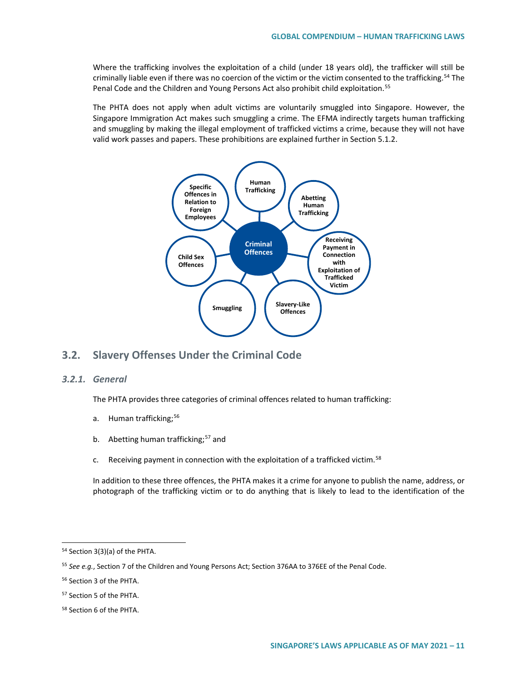Where the trafficking involves the exploitation of a child (under 18 years old), the trafficker will still be criminally liable even if there was no coercion of the victim or the victim consented to the trafficking.<sup>[54](#page-10-0)</sup> The Penal Code and the Children and Young Persons Act also prohibit child exploitation.[55](#page-10-1)

The PHTA does not apply when adult victims are voluntarily smuggled into Singapore. However, the Singapore Immigration Act makes such smuggling a crime. The EFMA indirectly targets human trafficking and smuggling by making the illegal employment of trafficked victims a crime, because they will not have valid work passes and papers. These prohibitions are explained further in Section 5.1.2.



# **3.2. Slavery Offenses Under the Criminal Code**

## *3.2.1. General*

The PHTA provides three categories of criminal offences related to human trafficking:

- a. Human trafficking:<sup>[56](#page-10-2)</sup>
- b. Abetting human trafficking;<sup>[57](#page-10-3)</sup> and
- c. Receiving payment in connection with the exploitation of a trafficked victim.<sup>[58](#page-10-4)</sup>

In addition to these three offences, the PHTA makes it a crime for anyone to publish the name, address, or photograph of the trafficking victim or to do anything that is likely to lead to the identification of the

<span id="page-10-0"></span> <sup>54</sup> Section 3(3)(a) of the PHTA.

<span id="page-10-1"></span><sup>55</sup> *See e.g.*, Section 7 of the Children and Young Persons Act; Section 376AA to 376EE of the Penal Code.

<span id="page-10-2"></span><sup>56</sup> Section 3 of the PHTA.

<span id="page-10-3"></span><sup>57</sup> Section 5 of the PHTA.

<span id="page-10-4"></span><sup>58</sup> Section 6 of the PHTA.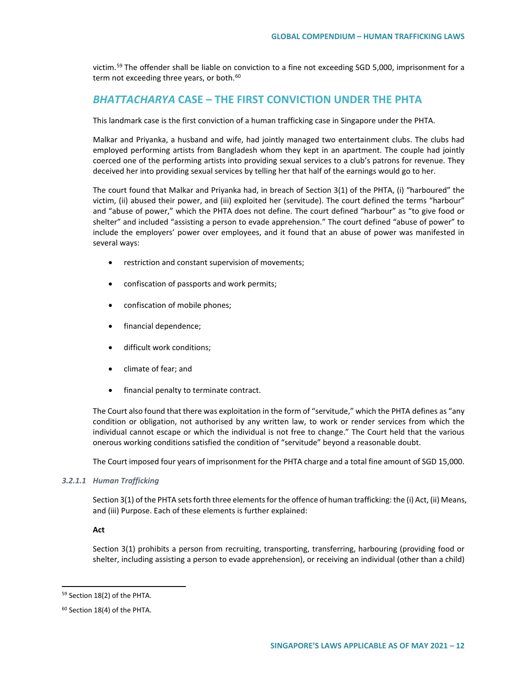victim.[59](#page-11-0) The offender shall be liable on conviction to a fine not exceeding SGD 5,000, imprisonment for a term not exceeding three years, or both.<sup>[60](#page-11-1)</sup>

## *BHATTACHARYA* **CASE – THE FIRST CONVICTION UNDER THE PHTA**

This landmark case is the first conviction of a human trafficking case in Singapore under the PHTA.

Malkar and Priyanka, a husband and wife, had jointly managed two entertainment clubs. The clubs had employed performing artists from Bangladesh whom they kept in an apartment. The couple had jointly coerced one of the performing artists into providing sexual services to a club's patrons for revenue. They deceived her into providing sexual services by telling her that half of the earnings would go to her.

The court found that Malkar and Priyanka had, in breach of Section 3(1) of the PHTA, (i) "harboured" the victim, (ii) abused their power, and (iii) exploited her (servitude). The court defined the terms "harbour" and "abuse of power," which the PHTA does not define. The court defined "harbour" as "to give food or shelter" and included "assisting a person to evade apprehension." The court defined "abuse of power" to include the employers' power over employees, and it found that an abuse of power was manifested in several ways:

- restriction and constant supervision of movements;
- confiscation of passports and work permits;
- confiscation of mobile phones;
- financial dependence;
- difficult work conditions;
- climate of fear; and
- financial penalty to terminate contract.

The Court also found that there was exploitation in the form of "servitude," which the PHTA defines as "any condition or obligation, not authorised by any written law, to work or render services from which the individual cannot escape or which the individual is not free to change." The Court held that the various onerous working conditions satisfied the condition of "servitude" beyond a reasonable doubt.

The Court imposed four years of imprisonment for the PHTA charge and a total fine amount of SGD 15,000.

#### *3.2.1.1 Human Trafficking*

Section 3(1) of the PHTA sets forth three elements for the offence of human trafficking: the (i) Act, (ii) Means, and (iii) Purpose. Each of these elements is further explained:

#### **Act**

Section 3(1) prohibits a person from recruiting, transporting, transferring, harbouring (providing food or shelter, including assisting a person to evade apprehension), or receiving an individual (other than a child)

<span id="page-11-0"></span> <sup>59</sup> Section 18(2) of the PHTA.

<span id="page-11-1"></span><sup>60</sup> Section 18(4) of the PHTA.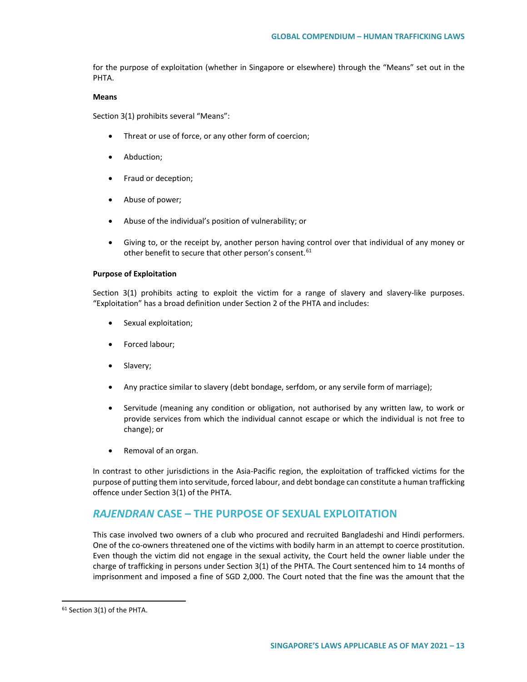for the purpose of exploitation (whether in Singapore or elsewhere) through the "Means" set out in the PHTA.

#### **Means**

Section 3(1) prohibits several "Means":

- Threat or use of force, or any other form of coercion;
- Abduction;
- Fraud or deception;
- Abuse of power;
- Abuse of the individual's position of vulnerability; or
- Giving to, or the receipt by, another person having control over that individual of any money or other benefit to secure that other person's consent.<sup>[61](#page-12-0)</sup>

#### **Purpose of Exploitation**

Section 3(1) prohibits acting to exploit the victim for a range of slavery and slavery-like purposes. "Exploitation" has a broad definition under Section 2 of the PHTA and includes:

- Sexual exploitation;
- Forced labour;
- Slavery;
- Any practice similar to slavery (debt bondage, serfdom, or any servile form of marriage);
- Servitude (meaning any condition or obligation, not authorised by any written law, to work or provide services from which the individual cannot escape or which the individual is not free to change); or
- Removal of an organ.

In contrast to other jurisdictions in the Asia-Pacific region, the exploitation of trafficked victims for the purpose of putting them into servitude, forced labour, and debt bondage can constitute a human trafficking offence under Section 3(1) of the PHTA.

# *RAJENDRAN* **CASE – THE PURPOSE OF SEXUAL EXPLOITATION**

This case involved two owners of a club who procured and recruited Bangladeshi and Hindi performers. One of the co-owners threatened one of the victims with bodily harm in an attempt to coerce prostitution. Even though the victim did not engage in the sexual activity, the Court held the owner liable under the charge of trafficking in persons under Section 3(1) of the PHTA. The Court sentenced him to 14 months of imprisonment and imposed a fine of SGD 2,000. The Court noted that the fine was the amount that the

<span id="page-12-0"></span> <sup>61</sup> Section 3(1) of the PHTA.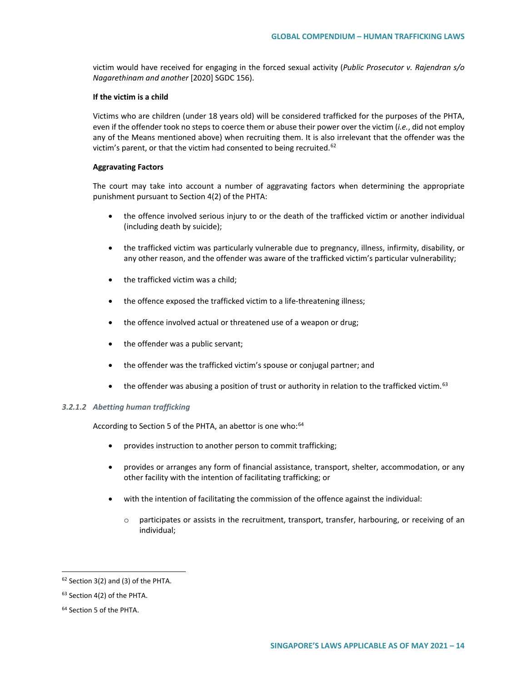victim would have received for engaging in the forced sexual activity (*Public Prosecutor v. Rajendran s/o Nagarethinam and another* [2020] SGDC 156).

#### **If the victim is a child**

Victims who are children (under 18 years old) will be considered trafficked for the purposes of the PHTA, even if the offender took no steps to coerce them or abuse their power over the victim (*i.e.*, did not employ any of the Means mentioned above) when recruiting them. It is also irrelevant that the offender was the victim's parent, or that the victim had consented to being recruited. $62$ 

#### **Aggravating Factors**

The court may take into account a number of aggravating factors when determining the appropriate punishment pursuant to Section 4(2) of the PHTA:

- the offence involved serious injury to or the death of the trafficked victim or another individual (including death by suicide);
- the trafficked victim was particularly vulnerable due to pregnancy, illness, infirmity, disability, or any other reason, and the offender was aware of the trafficked victim's particular vulnerability;
- the trafficked victim was a child;
- the offence exposed the trafficked victim to a life-threatening illness;
- the offence involved actual or threatened use of a weapon or drug;
- the offender was a public servant;
- the offender was the trafficked victim's spouse or conjugal partner; and
- $\bullet$  the offender was abusing a position of trust or authority in relation to the trafficked victim.  $63$

## *3.2.1.2 Abetting human trafficking*

According to Section 5 of the PHTA, an abettor is one who:<sup>[64](#page-13-2)</sup>

- provides instruction to another person to commit trafficking;
- provides or arranges any form of financial assistance, transport, shelter, accommodation, or any other facility with the intention of facilitating trafficking; or
- with the intention of facilitating the commission of the offence against the individual:
	- o participates or assists in the recruitment, transport, transfer, harbouring, or receiving of an individual;

<span id="page-13-0"></span> $62$  Section 3(2) and (3) of the PHTA.

<span id="page-13-1"></span><sup>63</sup> Section 4(2) of the PHTA.

<span id="page-13-2"></span><sup>64</sup> Section 5 of the PHTA.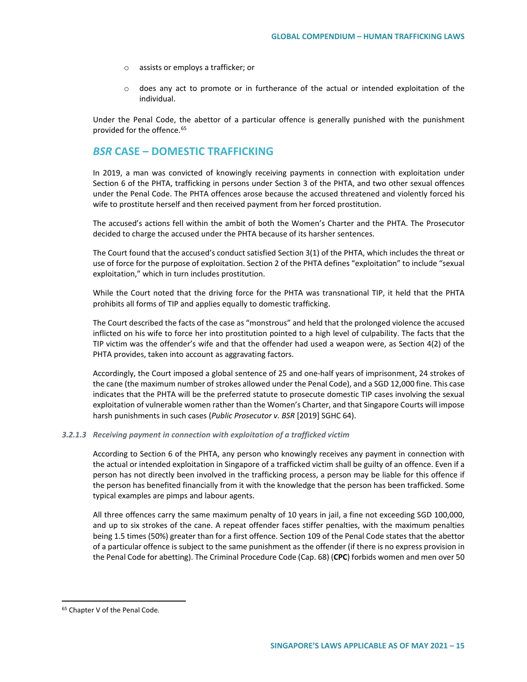- o assists or employs a trafficker; or
- o does any act to promote or in furtherance of the actual or intended exploitation of the individual.

Under the Penal Code, the abettor of a particular offence is generally punished with the punishment provided for the offence.[65](#page-14-0)

## *BSR* **CASE – DOMESTIC TRAFFICKING**

In 2019, a man was convicted of knowingly receiving payments in connection with exploitation under Section 6 of the PHTA, trafficking in persons under Section 3 of the PHTA, and two other sexual offences under the Penal Code. The PHTA offences arose because the accused threatened and violently forced his wife to prostitute herself and then received payment from her forced prostitution.

The accused's actions fell within the ambit of both the Women's Charter and the PHTA. The Prosecutor decided to charge the accused under the PHTA because of its harsher sentences.

The Court found that the accused's conduct satisfied Section 3(1) of the PHTA, which includes the threat or use of force for the purpose of exploitation. Section 2 of the PHTA defines "exploitation" to include "sexual exploitation," which in turn includes prostitution.

While the Court noted that the driving force for the PHTA was transnational TIP, it held that the PHTA prohibits all forms of TIP and applies equally to domestic trafficking.

The Court described the facts of the case as "monstrous" and held that the prolonged violence the accused inflicted on his wife to force her into prostitution pointed to a high level of culpability. The facts that the TIP victim was the offender's wife and that the offender had used a weapon were, as Section 4(2) of the PHTA provides, taken into account as aggravating factors.

Accordingly, the Court imposed a global sentence of 25 and one-half years of imprisonment, 24 strokes of the cane (the maximum number of strokes allowed under the Penal Code), and a SGD 12,000 fine. This case indicates that the PHTA will be the preferred statute to prosecute domestic TIP cases involving the sexual exploitation of vulnerable women rather than the Women's Charter, and that Singapore Courts will impose harsh punishments in such cases (*Public Prosecutor v. BSR* [2019] SGHC 64).

#### *3.2.1.3 Receiving payment in connection with exploitation of a trafficked victim*

According to Section 6 of the PHTA, any person who knowingly receives any payment in connection with the actual or intended exploitation in Singapore of a trafficked victim shall be guilty of an offence. Even if a person has not directly been involved in the trafficking process, a person may be liable for this offence if the person has benefited financially from it with the knowledge that the person has been trafficked. Some typical examples are pimps and labour agents.

All three offences carry the same maximum penalty of 10 years in jail, a fine not exceeding SGD 100,000, and up to six strokes of the cane. A repeat offender faces stiffer penalties, with the maximum penalties being 1.5 times (50%) greater than for a first offence. Section 109 of the Penal Code states that the abettor of a particular offence is subject to the same punishment as the offender (if there is no express provision in the Penal Code for abetting). The Criminal Procedure Code (Cap. 68) (**CPC**) forbids women and men over 50

<span id="page-14-0"></span> <sup>65</sup> Chapter V of the Penal Code*.*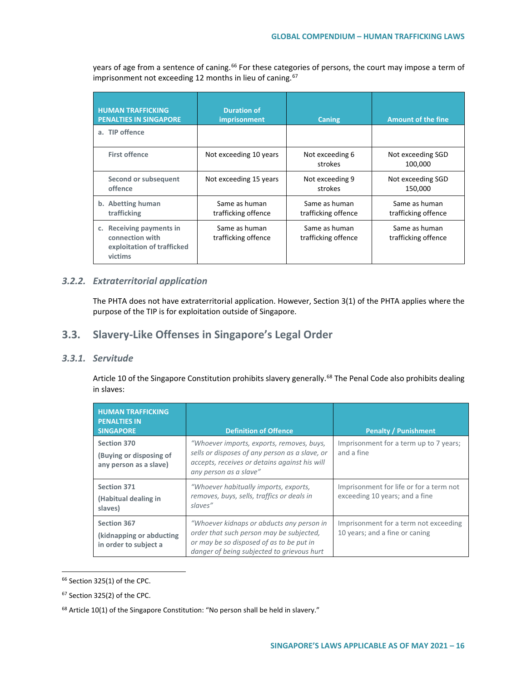years of age from a sentence of caning.<sup>[66](#page-15-0)</sup> For these categories of persons, the court may impose a term of  $\frac{1}{2}$  imprisonment not exceeding 12 months in lieu of caning.<sup>[67](#page-15-1)</sup>

| <b>HUMAN TRAFFICKING</b><br><b>PENALTIES IN SINGAPORE</b>                            | <b>Duration of</b><br>imprisonment   | <b>Caning</b>                        | <b>Amount of the fine</b>            |
|--------------------------------------------------------------------------------------|--------------------------------------|--------------------------------------|--------------------------------------|
| a. TIP offence                                                                       |                                      |                                      |                                      |
| <b>First offence</b>                                                                 | Not exceeding 10 years               | Not exceeding 6<br>strokes           | Not exceeding SGD<br>100.000         |
| Second or subsequent<br>offence                                                      | Not exceeding 15 years               | Not exceeding 9<br>strokes           | Not exceeding SGD<br>150,000         |
| b. Abetting human<br>trafficking                                                     | Same as human<br>trafficking offence | Same as human<br>trafficking offence | Same as human<br>trafficking offence |
| c. Receiving payments in<br>connection with<br>exploitation of trafficked<br>victims | Same as human<br>trafficking offence | Same as human<br>trafficking offence | Same as human<br>trafficking offence |

## *3.2.2. Extraterritorial application*

The PHTA does not have extraterritorial application. However, Section 3(1) of the PHTA applies where the purpose of the TIP is for exploitation outside of Singapore.

# **3.3. Slavery-Like Offenses in Singapore's Legal Order**

## *3.3.1. Servitude*

Article 10 of the Singapore Constitution prohibits slavery generally.<sup>[68](#page-15-2)</sup> The Penal Code also prohibits dealing in slaves:

| <b>HUMAN TRAFFICKING</b><br><b>PENALTIES IN</b><br><b>SINGAPORE</b> | <b>Definition of Offence</b>                                                                                                                                                    | <b>Penalty / Punishment</b>                                               |
|---------------------------------------------------------------------|---------------------------------------------------------------------------------------------------------------------------------------------------------------------------------|---------------------------------------------------------------------------|
| Section 370<br>(Buying or disposing of<br>any person as a slave)    | "Whoever imports, exports, removes, buys,<br>sells or disposes of any person as a slave, or<br>accepts, receives or detains against his will<br>any person as a slave"          | Imprisonment for a term up to 7 years;<br>and a fine                      |
| <b>Section 371</b><br>(Habitual dealing in<br>slaves)               | "Whoever habitually imports, exports,<br>removes, buys, sells, traffics or deals in<br>slaves"                                                                                  | Imprisonment for life or for a term not<br>exceeding 10 years; and a fine |
| Section 367<br>(kidnapping or abducting<br>in order to subject a    | "Whoever kidnaps or abducts any person in<br>order that such person may be subjected,<br>or may be so disposed of as to be put in<br>danger of being subjected to grievous hurt | Imprisonment for a term not exceeding<br>10 years; and a fine or caning   |

<span id="page-15-0"></span> <sup>66</sup> Section 325(1) of the CPC.

<span id="page-15-1"></span><sup>67</sup> Section 325(2) of the CPC.

<span id="page-15-2"></span><sup>&</sup>lt;sup>68</sup> Article 10(1) of the Singapore Constitution: "No person shall be held in slavery."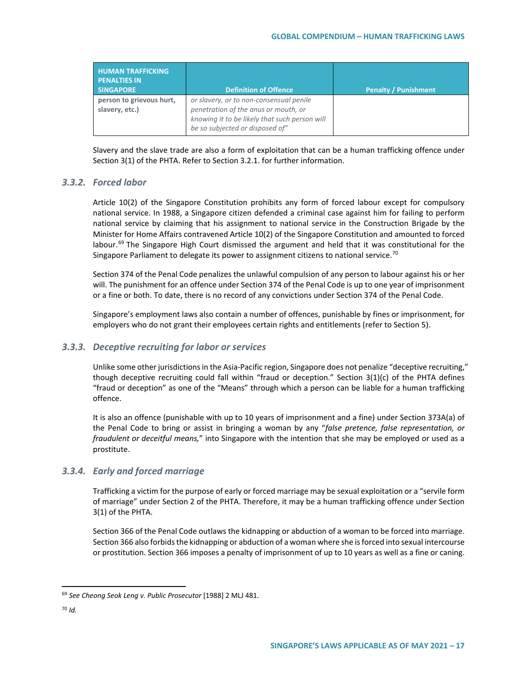| <b>HUMAN TRAFFICKING</b><br><b>PENALTIES IN</b><br><b>SINGAPORE</b> | <b>Definition of Offence</b>                                                                                                                                        | <b>Penalty / Punishment</b> |
|---------------------------------------------------------------------|---------------------------------------------------------------------------------------------------------------------------------------------------------------------|-----------------------------|
| person to grievous hurt,<br>slavery, etc.)                          | or slavery, or to non-consensual penile<br>penetration of the anus or mouth, or<br>knowing it to be likely that such person will<br>be so subjected or disposed of" |                             |

Slavery and the slave trade are also a form of exploitation that can be a human trafficking offence under Section 3(1) of the PHTA. Refer to Section 3.2.1. for further information.

## *3.3.2. Forced labor*

Article 10(2) of the Singapore Constitution prohibits any form of forced labour except for compulsory national service. In 1988, a Singapore citizen defended a criminal case against him for failing to perform national service by claiming that his assignment to national service in the Construction Brigade by the Minister for Home Affairs contravened Article 10(2) of the Singapore Constitution and amounted to forced labour.<sup>[69](#page-16-0)</sup> The Singapore High Court dismissed the argument and held that it was constitutional for the Singapore Parliament to delegate its power to assignment citizens to national service.<sup>[70](#page-16-1)</sup>

Section 374 of the Penal Code penalizes the unlawful compulsion of any person to labour against his or her will. The punishment for an offence under Section 374 of the Penal Code is up to one year of imprisonment or a fine or both. To date, there is no record of any convictions under Section 374 of the Penal Code.

Singapore's employment laws also contain a number of offences, punishable by fines or imprisonment, for employers who do not grant their employees certain rights and entitlements (refer to Section 5).

## *3.3.3. Deceptive recruiting for labor or services*

Unlike some other jurisdictions in the Asia-Pacific region, Singapore does not penalize "deceptive recruiting," though deceptive recruiting could fall within "fraud or deception." Section  $3(1)(c)$  of the PHTA defines "fraud or deception" as one of the "Means" through which a person can be liable for a human trafficking offence.

It is also an offence (punishable with up to 10 years of imprisonment and a fine) under Section 373A(a) of the Penal Code to bring or assist in bringing a woman by any "*false pretence, false representation, or fraudulent or deceitful means,*" into Singapore with the intention that she may be employed or used as a prostitute.

## *3.3.4. Early and forced marriage*

Trafficking a victim for the purpose of early or forced marriage may be sexual exploitation or a "servile form of marriage" under Section 2 of the PHTA. Therefore, it may be a human trafficking offence under Section 3(1) of the PHTA.

Section 366 of the Penal Code outlaws the kidnapping or abduction of a woman to be forced into marriage. Section 366 also forbids the kidnapping or abduction of a woman where she is forced into sexual intercourse or prostitution. Section 366 imposes a penalty of imprisonment of up to 10 years as well as a fine or caning.

<span id="page-16-0"></span> <sup>69</sup> *See Cheong Seok Leng v. Public Prosecutor* [1988] 2 MLJ 481.

<span id="page-16-1"></span><sup>70</sup> *Id.*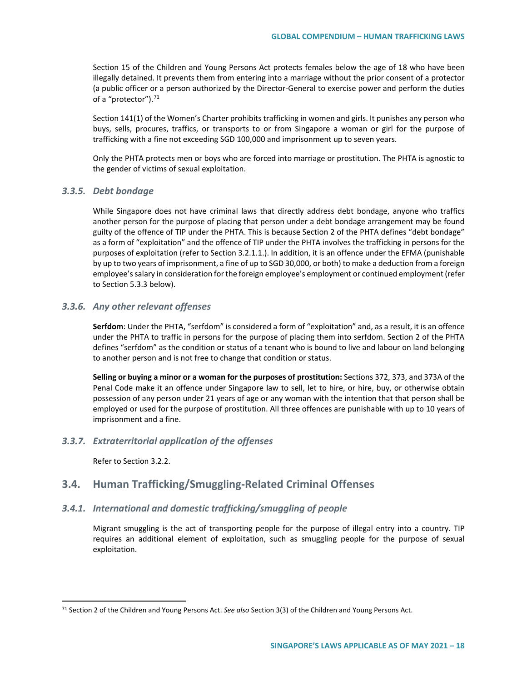Section 15 of the Children and Young Persons Act protects females below the age of 18 who have been illegally detained. It prevents them from entering into a marriage without the prior consent of a protector (a public officer or a person authorized by the Director-General to exercise power and perform the duties of a "protector").<sup>[71](#page-17-0)</sup>

Section 141(1) of the Women's Charter prohibits trafficking in women and girls. It punishes any person who buys, sells, procures, traffics, or transports to or from Singapore a woman or girl for the purpose of trafficking with a fine not exceeding SGD 100,000 and imprisonment up to seven years.

Only the PHTA protects men or boys who are forced into marriage or prostitution. The PHTA is agnostic to the gender of victims of sexual exploitation.

#### *3.3.5. Debt bondage*

While Singapore does not have criminal laws that directly address debt bondage, anyone who traffics another person for the purpose of placing that person under a debt bondage arrangement may be found guilty of the offence of TIP under the PHTA. This is because Section 2 of the PHTA defines "debt bondage" as a form of "exploitation" and the offence of TIP under the PHTA involves the trafficking in persons for the purposes of exploitation (refer to Section 3.2.1.1.). In addition, it is an offence under the EFMA (punishable by up to two years of imprisonment, a fine of up to SGD 30,000, or both) to make a deduction from a foreign employee's salary in consideration for the foreign employee's employment or continued employment (refer to Section 5.3.3 below).

#### *3.3.6. Any other relevant offenses*

**Serfdom**: Under the PHTA, "serfdom" is considered a form of "exploitation" and, as a result, it is an offence under the PHTA to traffic in persons for the purpose of placing them into serfdom. Section 2 of the PHTA defines "serfdom" as the condition or status of a tenant who is bound to live and labour on land belonging to another person and is not free to change that condition or status.

**Selling or buying a minor or a woman for the purposes of prostitution:** Sections 372, 373, and 373A of the Penal Code make it an offence under Singapore law to sell, let to hire, or hire, buy, or otherwise obtain possession of any person under 21 years of age or any woman with the intention that that person shall be employed or used for the purpose of prostitution. All three offences are punishable with up to 10 years of imprisonment and a fine.

#### *3.3.7. Extraterritorial application of the offenses*

Refer to Section 3.2.2.

## **3.4. Human Trafficking/Smuggling-Related Criminal Offenses**

## *3.4.1. International and domestic trafficking/smuggling of people*

Migrant smuggling is the act of transporting people for the purpose of illegal entry into a country. TIP requires an additional element of exploitation, such as smuggling people for the purpose of sexual exploitation.

<span id="page-17-0"></span> <sup>71</sup> Section 2 of the Children and Young Persons Act. *See also* Section 3(3) of the Children and Young Persons Act.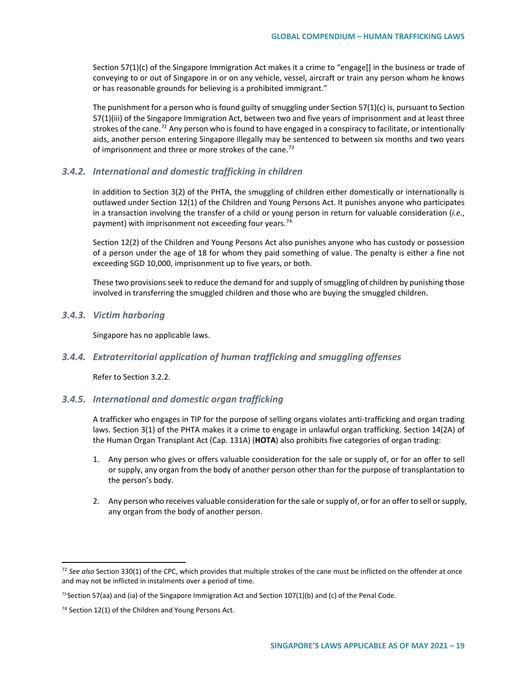Section 57(1)(c) of the Singapore Immigration Act makes it a crime to "engage[] in the business or trade of conveying to or out of Singapore in or on any vehicle, vessel, aircraft or train any person whom he knows or has reasonable grounds for believing is a prohibited immigrant."

The punishment for a person who is found guilty of smuggling under Section 57(1)(c) is, pursuant to Section 57(1)(iii) of the Singapore Immigration Act, between two and five years of imprisonment and at least three strokes of the cane.<sup>[72](#page-18-0)</sup> Any person who is found to have engaged in a conspiracy to facilitate, or intentionally aids, another person entering Singapore illegally may be sentenced to between six months and two years of imprisonment and three or more strokes of the cane.<sup>73</sup>

## *3.4.2. International and domestic trafficking in children*

In addition to Section 3(2) of the PHTA, the smuggling of children either domestically or internationally is outlawed under Section 12(1) of the Children and Young Persons Act. It punishes anyone who participates in a transaction involving the transfer of a child or young person in return for valuable consideration (*i.e.*, payment) with imprisonment not exceeding four years.<sup>[74](#page-18-2)</sup>

Section 12(2) of the Children and Young Persons Act also punishes anyone who has custody or possession of a person under the age of 18 for whom they paid something of value. The penalty is either a fine not exceeding SGD 10,000, imprisonment up to five years, or both.

These two provisions seek to reduce the demand for and supply of smuggling of children by punishing those involved in transferring the smuggled children and those who are buying the smuggled children.

*3.4.3. Victim harboring*

Singapore has no applicable laws.

## *3.4.4. Extraterritorial application of human trafficking and smuggling offenses*

Refer to Section 3.2.2.

#### *3.4.5. International and domestic organ trafficking*

A trafficker who engages in TIP for the purpose of selling organs violates anti-trafficking and organ trading laws. Section 3(1) of the PHTA makes it a crime to engage in unlawful organ trafficking. Section 14(2A) of the Human Organ Transplant Act (Cap. 131A) (**HOTA**) also prohibits five categories of organ trading:

- 1. Any person who gives or offers valuable consideration for the sale or supply of, or for an offer to sell or supply, any organ from the body of another person other than for the purpose of transplantation to the person's body.
- 2. Any person who receives valuable consideration for the sale or supply of, or for an offer to sell or supply, any organ from the body of another person.

<span id="page-18-0"></span> <sup>72</sup> *See also* Section 330(1) of the CPC, which provides that multiple strokes of the cane must be inflicted on the offender at once and may not be inflicted in instalments over a period of time*.* 

<span id="page-18-1"></span><sup>&</sup>lt;sup>73</sup> Section 57(aa) and (ia) of the Singapore Immigration Act and Section 107(1)(b) and (c) of the Penal Code.

<span id="page-18-2"></span><sup>74</sup> Section 12(1) of the Children and Young Persons Act.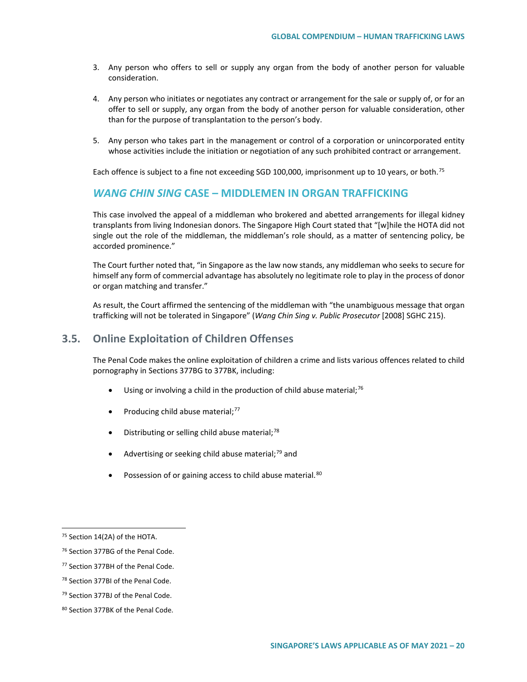- 3. Any person who offers to sell or supply any organ from the body of another person for valuable consideration.
- 4. Any person who initiates or negotiates any contract or arrangement for the sale or supply of, or for an offer to sell or supply, any organ from the body of another person for valuable consideration, other than for the purpose of transplantation to the person's body.
- 5. Any person who takes part in the management or control of a corporation or unincorporated entity whose activities include the initiation or negotiation of any such prohibited contract or arrangement.

Each offence is subject to a fine not exceeding SGD 100,000, imprisonment up to 10 years, or both.<sup>[75](#page-19-0)</sup>

# *WANG CHIN SING* **CASE – MIDDLEMEN IN ORGAN TRAFFICKING**

This case involved the appeal of a middleman who brokered and abetted arrangements for illegal kidney transplants from living Indonesian donors. The Singapore High Court stated that "[w]hile the HOTA did not single out the role of the middleman, the middleman's role should, as a matter of sentencing policy, be accorded prominence."

The Court further noted that, "in Singapore as the law now stands, any middleman who seeks to secure for himself any form of commercial advantage has absolutely no legitimate role to play in the process of donor or organ matching and transfer."

As result, the Court affirmed the sentencing of the middleman with "the unambiguous message that organ trafficking will not be tolerated in Singapore" (*Wang Chin Sing v. Public Prosecutor* [2008] SGHC 215).

## **3.5. Online Exploitation of Children Offenses**

The Penal Code makes the online exploitation of children a crime and lists various offences related to child pornography in Sections 377BG to 377BK, including:

- Using or involving a child in the production of child abuse material;<sup>[76](#page-19-1)</sup>
- Producing child abuse material;<sup>[77](#page-19-2)</sup>
- Distributing or selling child abuse material; $^{78}$  $^{78}$  $^{78}$
- Advertising or seeking child abuse material;<sup>[79](#page-19-4)</sup> and
- Possession of or gaining access to child abuse material.<sup>[80](#page-19-5)</sup>

<span id="page-19-0"></span> <sup>75</sup> Section 14(2A) of the HOTA.

<span id="page-19-1"></span><sup>76</sup> Section 377BG of the Penal Code.

<span id="page-19-2"></span><sup>77</sup> Section 377BH of the Penal Code.

<span id="page-19-3"></span><sup>78</sup> Section 377BI of the Penal Code.

<span id="page-19-4"></span><sup>&</sup>lt;sup>79</sup> Section 377BJ of the Penal Code.

<span id="page-19-5"></span><sup>80</sup> Section 377BK of the Penal Code.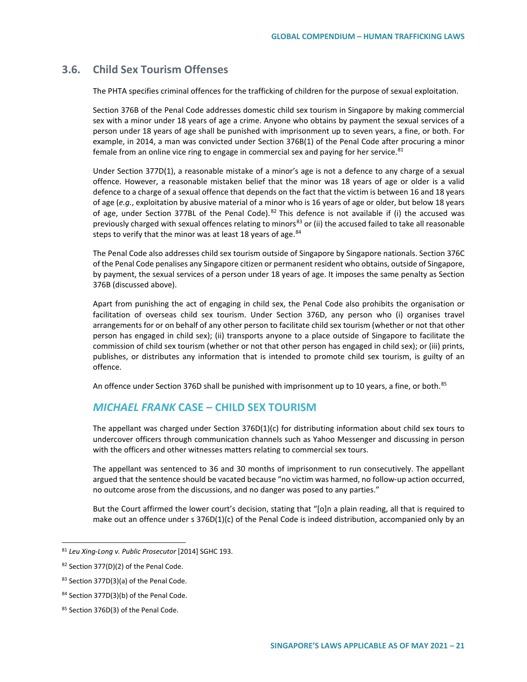# **3.6. Child Sex Tourism Offenses**

The PHTA specifies criminal offences for the trafficking of children for the purpose of sexual exploitation.

Section 376B of the Penal Code addresses domestic child sex tourism in Singapore by making commercial sex with a minor under 18 years of age a crime. Anyone who obtains by payment the sexual services of a person under 18 years of age shall be punished with imprisonment up to seven years, a fine, or both. For example, in 2014, a man was convicted under Section 376B(1) of the Penal Code after procuring a minor female from an online vice ring to engage in commercial sex and paying for her service. $81$ 

Under Section 377D(1), a reasonable mistake of a minor's age is not a defence to any charge of a sexual offence. However, a reasonable mistaken belief that the minor was 18 years of age or older is a valid defence to a charge of a sexual offence that depends on the fact that the victim is between 16 and 18 years of age (*e.g.*, exploitation by abusive material of a minor who is 16 years of age or older, but below 18 years of age, under Section 377BL of the Penal Code). <sup>[82](#page-20-1)</sup> This defence is not available if (i) the accused was previously charged with sexual offences relating to minors<sup>[83](#page-20-2)</sup> or (ii) the accused failed to take all reasonable steps to verify that the minor was at least 18 years of age.<sup>[84](#page-20-3)</sup>

The Penal Code also addresses child sex tourism outside of Singapore by Singapore nationals. Section 376C of the Penal Code penalises any Singapore citizen or permanent resident who obtains, outside of Singapore, by payment, the sexual services of a person under 18 years of age. It imposes the same penalty as Section 376B (discussed above).

Apart from punishing the act of engaging in child sex, the Penal Code also prohibits the organisation or facilitation of overseas child sex tourism. Under Section 376D, any person who (i) organises travel arrangements for or on behalf of any other person to facilitate child sex tourism (whether or not that other person has engaged in child sex); (ii) transports anyone to a place outside of Singapore to facilitate the commission of child sex tourism (whether or not that other person has engaged in child sex); or (iii) prints, publishes, or distributes any information that is intended to promote child sex tourism, is guilty of an offence.

An offence under Section 376D shall be punished with imprisonment up to 10 years, a fine, or both.<sup>[85](#page-20-4)</sup>

# *MICHAEL FRANK* **CASE – CHILD SEX TOURISM**

The appellant was charged under Section 376D(1)(c) for distributing information about child sex tours to undercover officers through communication channels such as Yahoo Messenger and discussing in person with the officers and other witnesses matters relating to commercial sex tours.

The appellant was sentenced to 36 and 30 months of imprisonment to run consecutively. The appellant argued that the sentence should be vacated because "no victim was harmed, no follow‑up action occurred, no outcome arose from the discussions, and no danger was posed to any parties."

But the Court affirmed the lower court's decision, stating that "[o]n a plain reading, all that is required to make out an offence under s 376D(1)(c) of the Penal Code is indeed distribution, accompanied only by an

<span id="page-20-0"></span> <sup>81</sup> *Leu Xing-Long v. Public Prosecutor* [2014] SGHC 193.

<span id="page-20-1"></span><sup>82</sup> Section 377(D)(2) of the Penal Code.

<span id="page-20-2"></span><sup>83</sup> Section 377D(3)(a) of the Penal Code.

<span id="page-20-3"></span><sup>84</sup> Section 377D(3)(b) of the Penal Code.

<span id="page-20-4"></span><sup>85</sup> Section 376D(3) of the Penal Code.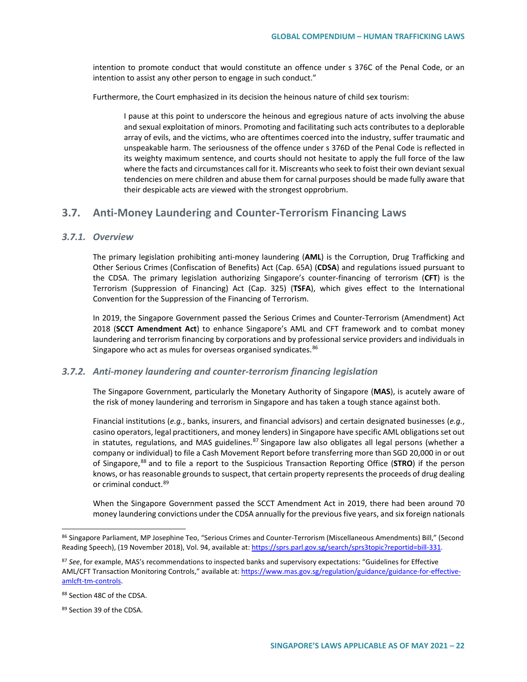intention to promote conduct that would constitute an offence under s 376C of the Penal Code, or an intention to assist any other person to engage in such conduct."

Furthermore, the Court emphasized in its decision the heinous nature of child sex tourism:

I pause at this point to underscore the heinous and egregious nature of acts involving the abuse and sexual exploitation of minors. Promoting and facilitating such acts contributes to a deplorable array of evils, and the victims, who are oftentimes coerced into the industry, suffer traumatic and unspeakable harm. The seriousness of the offence under s 376D of the Penal Code is reflected in its weighty maximum sentence, and courts should not hesitate to apply the full force of the law where the facts and circumstances call for it. Miscreants who seek to foist their own deviant sexual tendencies on mere children and abuse them for carnal purposes should be made fully aware that their despicable acts are viewed with the strongest opprobrium.

## **3.7. Anti-Money Laundering and Counter-Terrorism Financing Laws**

#### *3.7.1. Overview*

The primary legislation prohibiting anti-money laundering (**AML**) is the Corruption, Drug Trafficking and Other Serious Crimes (Confiscation of Benefits) Act (Cap. 65A) (**CDSA**) and regulations issued pursuant to the CDSA. The primary legislation authorizing Singapore's counter-financing of terrorism (**CFT**) is the Terrorism (Suppression of Financing) Act (Cap. 325) (**TSFA**), which gives effect to the International Convention for the Suppression of the Financing of Terrorism.

In 2019, the Singapore Government passed the Serious Crimes and Counter-Terrorism (Amendment) Act 2018 (**SCCT Amendment Act**) to enhance Singapore's AML and CFT framework and to combat money laundering and terrorism financing by corporations and by professional service providers and individuals in Singapore who act as mules for overseas organised syndicates.<sup>[86](#page-21-0)</sup>

#### *3.7.2. Anti-money laundering and counter-terrorism financing legislation*

The Singapore Government, particularly the Monetary Authority of Singapore (**MAS**), is acutely aware of the risk of money laundering and terrorism in Singapore and has taken a tough stance against both.

Financial institutions (*e.g.*, banks, insurers, and financial advisors) and certain designated businesses (*e.g.*, casino operators, legal practitioners, and money lenders) in Singapore have specific AML obligations set out in statutes, regulations, and MAS guidelines.<sup>[87](#page-21-1)</sup> Singapore law also obligates all legal persons (whether a company or individual) to file a Cash Movement Report before transferring more than SGD 20,000 in or out of Singapore,[88](#page-21-2) and to file a report to the Suspicious Transaction Reporting Office (**STRO**) if the person knows, or has reasonable grounds to suspect, that certain property represents the proceeds of drug dealing or criminal conduct.<sup>[89](#page-21-3)</sup>

When the Singapore Government passed the SCCT Amendment Act in 2019, there had been around 70 money laundering convictions under the CDSA annually for the previous five years, and six foreign nationals

<span id="page-21-0"></span> <sup>86</sup> Singapore Parliament, MP Josephine Teo, "Serious Crimes and Counter-Terrorism (Miscellaneous Amendments) Bill," (Second Reading Speech), (19 November 2018), Vol. 94, available at[: https://sprs.parl.gov.sg/search/sprs3topic?reportid=bill-331.](https://sprs.parl.gov.sg/search/sprs3topic?reportid=bill-331)

<span id="page-21-1"></span><sup>87</sup> *See*, for example, MAS's recommendations to inspected banks and supervisory expectations: "Guidelines for Effective AML/CFT Transaction Monitoring Controls," available at[: https://www.mas.gov.sg/regulation/guidance/guidance-for-effective](https://www.mas.gov.sg/regulation/guidance/guidance-for-effective-amlcft-tm-controls)[amlcft-tm-controls.](https://www.mas.gov.sg/regulation/guidance/guidance-for-effective-amlcft-tm-controls)

<span id="page-21-2"></span><sup>88</sup> Section 48C of the CDSA.

<span id="page-21-3"></span><sup>89</sup> Section 39 of the CDSA.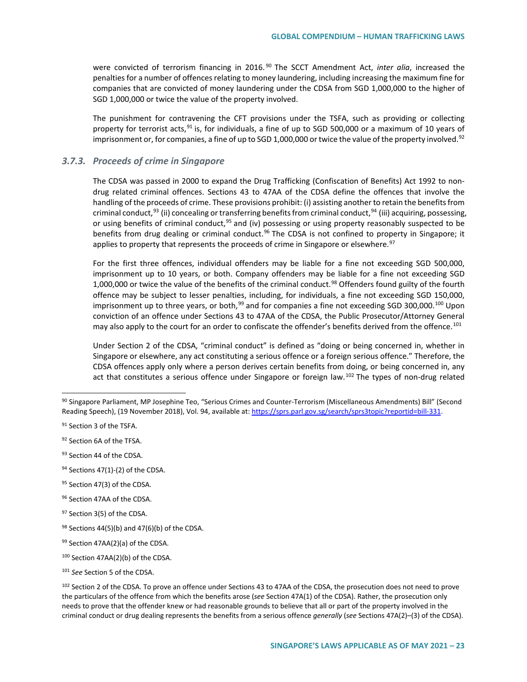were convicted of terrorism financing in 2016.<sup>[90](#page-22-0)</sup> The SCCT Amendment Act, *inter alia*, increased the penalties for a number of offences relating to money laundering, including increasing the maximum fine for companies that are convicted of money laundering under the CDSA from SGD 1,000,000 to the higher of SGD 1,000,000 or twice the value of the property involved.

The punishment for contravening the CFT provisions under the TSFA, such as providing or collecting property for terrorist acts,<sup>[91](#page-22-1)</sup> is, for individuals, a fine of up to SGD 500,000 or a maximum of 10 years of imprisonment or, for companies, a fine of up to SGD 1,000,000 or twice the value of the property involved.<sup>[92](#page-22-2)</sup>

#### *3.7.3. Proceeds of crime in Singapore*

The CDSA was passed in 2000 to expand the Drug Trafficking (Confiscation of Benefits) Act 1992 to nondrug related criminal offences. Sections 43 to 47AA of the CDSA define the offences that involve the handling of the proceeds of crime. These provisions prohibit: (i) assisting another to retain the benefits from criminal conduct,  $93$  (ii) concealing or transferring benefits from criminal conduct,  $94$  (iii) acquiring, possessing, or using benefits of criminal conduct, <sup>[95](#page-22-5)</sup> and (iv) possessing or using property reasonably suspected to be benefits from drug dealing or criminal conduct.<sup>[96](#page-22-6)</sup> The CDSA is not confined to property in Singapore; it applies to property that represents the proceeds of crime in Singapore or elsewhere.<sup>[97](#page-22-7)</sup>

For the first three offences, individual offenders may be liable for a fine not exceeding SGD 500,000, imprisonment up to 10 years, or both. Company offenders may be liable for a fine not exceeding SGD 1,000,000 or twice the value of the benefits of the criminal conduct.<sup>[98](#page-22-8)</sup> Offenders found guilty of the fourth offence may be subject to lesser penalties, including, for individuals, a fine not exceeding SGD 150,000, imprisonment up to three years, or both,<sup>[99](#page-22-9)</sup> and for companies a fine not exceeding SGD 300,000.<sup>[100](#page-22-10)</sup> Upon conviction of an offence under Sections 43 to 47AA of the CDSA, the Public Prosecutor/Attorney General may also apply to the court for an order to confiscate the offender's benefits derived from the offence.<sup>[101](#page-22-11)</sup>

Under Section 2 of the CDSA, "criminal conduct" is defined as "doing or being concerned in, whether in Singapore or elsewhere, any act constituting a serious offence or a foreign serious offence." Therefore, the CDSA offences apply only where a person derives certain benefits from doing, or being concerned in, any act that constitutes a serious offence under Singapore or foreign law.<sup>[102](#page-22-12)</sup> The types of non-drug related

- <span id="page-22-4"></span> $94$  Sections 47(1)-(2) of the CDSA.
- <span id="page-22-5"></span>95 Section 47(3) of the CDSA.
- <span id="page-22-6"></span>96 Section 47AA of the CDSA.

<span id="page-22-0"></span> <sup>90</sup> Singapore Parliament, MP Josephine Teo, "Serious Crimes and Counter-Terrorism (Miscellaneous Amendments) Bill" (Second Reading Speech), (19 November 2018), Vol. 94, available at[: https://sprs.parl.gov.sg/search/sprs3topic?reportid=bill-331.](https://sprs.parl.gov.sg/search/sprs3topic?reportid=bill-331)

<span id="page-22-1"></span><sup>&</sup>lt;sup>91</sup> Section 3 of the TSFA.

<span id="page-22-2"></span><sup>92</sup> Section 6A of the TFSA.

<span id="page-22-3"></span><sup>93</sup> Section 44 of the CDSA.

<span id="page-22-7"></span><sup>97</sup> Section 3(5) of the CDSA.

<span id="page-22-8"></span> $98$  Sections 44(5)(b) and 47(6)(b) of the CDSA.

<span id="page-22-9"></span><sup>99</sup> Section 47AA(2)(a) of the CDSA.

<span id="page-22-10"></span><sup>100</sup> Section 47AA(2)(b) of the CDSA.

<span id="page-22-11"></span><sup>101</sup> *See* Section 5 of the CDSA.

<span id="page-22-12"></span><sup>&</sup>lt;sup>102</sup> Section 2 of the CDSA. To prove an offence under Sections 43 to 47AA of the CDSA, the prosecution does not need to prove the particulars of the offence from which the benefits arose (*see* Section 47A(1) of the CDSA). Rather, the prosecution only needs to prove that the offender knew or had reasonable grounds to believe that all or part of the property involved in the criminal conduct or drug dealing represents the benefits from a serious offence *generally* (*see* Sections 47A(2)–(3) of the CDSA).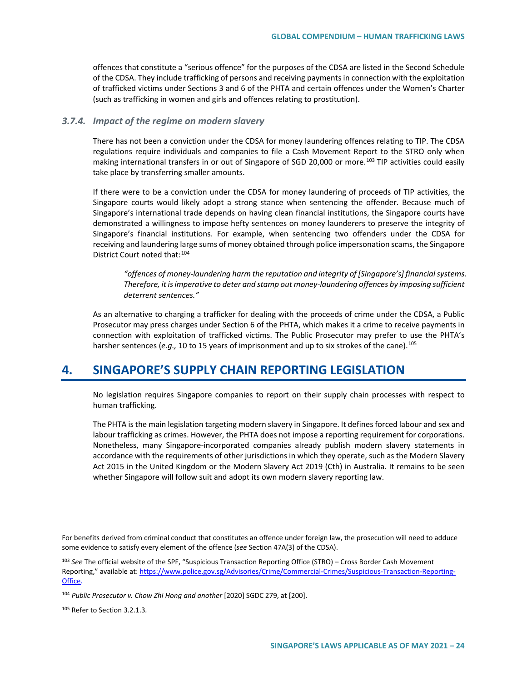offences that constitute a "serious offence" for the purposes of the CDSA are listed in the Second Schedule of the CDSA. They include trafficking of persons and receiving payments in connection with the exploitation of trafficked victims under Sections 3 and 6 of the PHTA and certain offences under the Women's Charter (such as trafficking in women and girls and offences relating to prostitution).

#### *3.7.4. Impact of the regime on modern slavery*

There has not been a conviction under the CDSA for money laundering offences relating to TIP. The CDSA regulations require individuals and companies to file a Cash Movement Report to the STRO only when making international transfers in or out of Singapore of SGD 20,000 or more.<sup>[103](#page-23-0)</sup> TIP activities could easily take place by transferring smaller amounts.

If there were to be a conviction under the CDSA for money laundering of proceeds of TIP activities, the Singapore courts would likely adopt a strong stance when sentencing the offender. Because much of Singapore's international trade depends on having clean financial institutions, the Singapore courts have demonstrated a willingness to impose hefty sentences on money launderers to preserve the integrity of Singapore's financial institutions. For example, when sentencing two offenders under the CDSA for receiving and laundering large sums of money obtained through police impersonation scams, the Singapore District Court noted that:<sup>[104](#page-23-1)</sup>

*"offences of money-laundering harm the reputation and integrity of [Singapore's] financial systems. Therefore, it is imperative to deter and stamp out money-laundering offences by imposing sufficient deterrent sentences."* 

As an alternative to charging a trafficker for dealing with the proceeds of crime under the CDSA, a Public Prosecutor may press charges under Section 6 of the PHTA, which makes it a crime to receive payments in connection with exploitation of trafficked victims. The Public Prosecutor may prefer to use the PHTA's harsher sentences (e.g., 10 to 15 years of imprisonment and up to six strokes of the cane).<sup>[105](#page-23-2)</sup>

# **4. SINGAPORE'S SUPPLY CHAIN REPORTING LEGISLATION**

No legislation requires Singapore companies to report on their supply chain processes with respect to human trafficking.

The PHTA is the main legislation targeting modern slavery in Singapore. It defines forced labour and sex and labour trafficking as crimes. However, the PHTA does not impose a reporting requirement for corporations. Nonetheless, many Singapore-incorporated companies already publish modern slavery statements in accordance with the requirements of other jurisdictions in which they operate, such as the Modern Slavery Act 2015 in the United Kingdom or the Modern Slavery Act 2019 (Cth) in Australia. It remains to be seen whether Singapore will follow suit and adopt its own modern slavery reporting law.

 $\overline{a}$ 

For benefits derived from criminal conduct that constitutes an offence under foreign law, the prosecution will need to adduce some evidence to satisfy every element of the offence (*see* Section 47A(3) of the CDSA).

<span id="page-23-0"></span><sup>103</sup> *See* The official website of the SPF, "Suspicious Transaction Reporting Office (STRO) – Cross Border Cash Movement Reporting," available at[: https://www.police.gov.sg/Advisories/Crime/Commercial-Crimes/Suspicious-Transaction-Reporting-](https://www.police.gov.sg/Advisories/Crime/Commercial-Crimes/Suspicious-Transaction-Reporting-Office)[Office.](https://www.police.gov.sg/Advisories/Crime/Commercial-Crimes/Suspicious-Transaction-Reporting-Office)

<span id="page-23-1"></span><sup>&</sup>lt;sup>104</sup> Public Prosecutor v. Chow Zhi Hong and another [2020] SGDC 279, at [200].

<span id="page-23-2"></span><sup>105</sup> Refer to Section 3.2.1.3*.*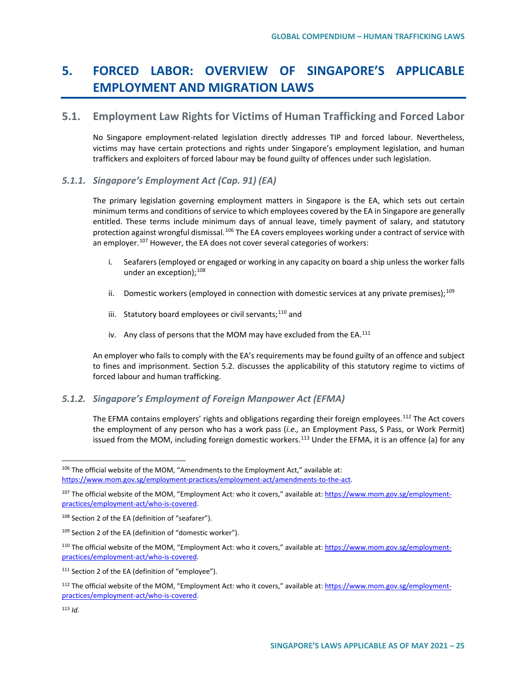# **5. FORCED LABOR: OVERVIEW OF SINGAPORE'S APPLICABLE EMPLOYMENT AND MIGRATION LAWS**

# **5.1. Employment Law Rights for Victims of Human Trafficking and Forced Labor**

No Singapore employment-related legislation directly addresses TIP and forced labour. Nevertheless, victims may have certain protections and rights under Singapore's employment legislation, and human traffickers and exploiters of forced labour may be found guilty of offences under such legislation.

## *5.1.1. Singapore's Employment Act (Cap. 91) (EA)*

The primary legislation governing employment matters in Singapore is the EA, which sets out certain minimum terms and conditions of service to which employees covered by the EA in Singapore are generally entitled. These terms include minimum days of annual leave, timely payment of salary, and statutory protection against wrongful dismissal.<sup>[106](#page-24-0)</sup> The EA covers employees working under a contract of service with an employer.<sup>[107](#page-24-1)</sup> However, the EA does not cover several categories of workers:

- i. Seafarers (employed or engaged or working in any capacity on board a ship unless the worker falls under an exception); $^{108}$  $^{108}$  $^{108}$
- ii. Domestic workers (employed in connection with domestic services at any private premises);<sup>[109](#page-24-3)</sup>
- iii. Statutory board employees or civil servants; $^{110}$  $^{110}$  $^{110}$  and
- iv. Any class of persons that the MOM may have excluded from the EA.<sup>[111](#page-24-5)</sup>

An employer who fails to comply with the EA's requirements may be found guilty of an offence and subject to fines and imprisonment. Section 5.2. discusses the applicability of this statutory regime to victims of forced labour and human trafficking.

## *5.1.2. Singapore's Employment of Foreign Manpower Act (EFMA)*

The EFMA contains employers' rights and obligations regarding their foreign employees.[112](#page-24-6) The Act covers the employment of any person who has a work pass (*i.e.,* an Employment Pass, S Pass, or Work Permit) issued from the MOM, including foreign domestic workers.<sup>[113](#page-24-7)</sup> Under the EFMA, it is an offence (a) for any

<span id="page-24-0"></span><sup>106</sup> The official website of the MOM, "Amendments to the Employment Act," available at: [https://www.mom.gov.sg/employment-practices/employment-act/amendments-to-the-act.](https://www.mom.gov.sg/employment-practices/employment-act/amendments-to-the-act)

<span id="page-24-1"></span><sup>&</sup>lt;sup>107</sup> The official website of the MOM, "Employment Act: who it covers," available at[: https://www.mom.gov.sg/employment](https://www.mom.gov.sg/employment-practices/employment-act/who-is-covered)[practices/employment-act/who-is-covered.](https://www.mom.gov.sg/employment-practices/employment-act/who-is-covered)

<span id="page-24-2"></span><sup>108</sup> Section 2 of the EA (definition of "seafarer").

<span id="page-24-3"></span><sup>109</sup> Section 2 of the EA (definition of "domestic worker").

<span id="page-24-4"></span><sup>110</sup> The official website of the MOM, "Employment Act: who it covers," available at: [https://www.mom.gov.sg/employment](https://www.mom.gov.sg/employment-practices/employment-act/who-is-covered)[practices/employment-act/who-is-covered.](https://www.mom.gov.sg/employment-practices/employment-act/who-is-covered)

<span id="page-24-5"></span><sup>&</sup>lt;sup>111</sup> Section 2 of the EA (definition of "employee").

<span id="page-24-6"></span><sup>&</sup>lt;sup>112</sup> The official website of the MOM, "Employment Act: who it covers," available at: [https://www.mom.gov.sg/employment](https://www.mom.gov.sg/employment-practices/employment-act/who-is-covered)[practices/employment-act/who-is-covered.](https://www.mom.gov.sg/employment-practices/employment-act/who-is-covered)

<span id="page-24-7"></span><sup>113</sup> *Id.*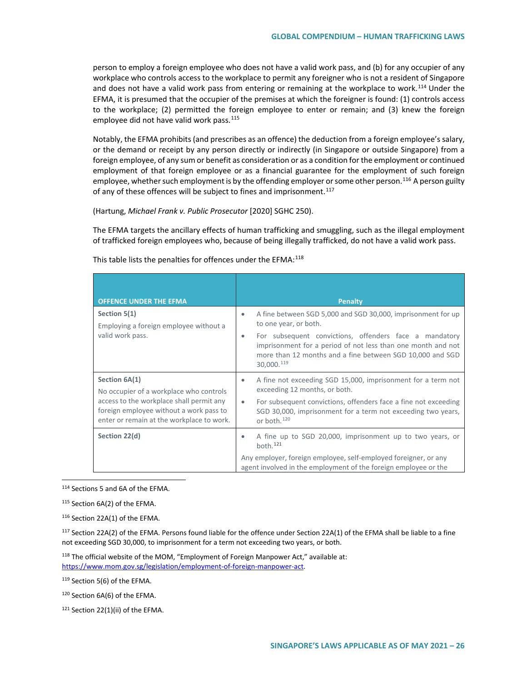person to employ a foreign employee who does not have a valid work pass, and (b) for any occupier of any workplace who controls access to the workplace to permit any foreigner who is not a resident of Singapore and does not have a valid work pass from entering or remaining at the workplace to work.<sup>[114](#page-25-0)</sup> Under the EFMA, it is presumed that the occupier of the premises at which the foreigner is found: (1) controls access to the workplace; (2) permitted the foreign employee to enter or remain; and (3) knew the foreign employee did not have valid work pass. $115$ 

Notably, the EFMA prohibits (and prescribes as an offence) the deduction from a foreign employee's salary, or the demand or receipt by any person directly or indirectly (in Singapore or outside Singapore) from a foreign employee, of any sum or benefit as consideration or as a condition for the employment or continued employment of that foreign employee or as a financial guarantee for the employment of such foreign employee, whether such employment is by the offending employer or some other person.<sup>[116](#page-25-2)</sup> A person guilty of any of these offences will be subject to fines and imprisonment.<sup>[117](#page-25-3)</sup>

(Hartung, *Michael Frank v. Public Prosecutor* [2020] SGHC 250).

The EFMA targets the ancillary effects of human trafficking and smuggling, such as the illegal employment of trafficked foreign employees who, because of being illegally trafficked, do not have a valid work pass.

| <b>OFFENCE UNDER THE EFMA</b>                                                                                                                                                                | <b>Penalty</b>                                                                                                                                                                                                                                                                                               |
|----------------------------------------------------------------------------------------------------------------------------------------------------------------------------------------------|--------------------------------------------------------------------------------------------------------------------------------------------------------------------------------------------------------------------------------------------------------------------------------------------------------------|
| Section 5(1)<br>Employing a foreign employee without a<br>valid work pass.                                                                                                                   | A fine between SGD 5,000 and SGD 30,000, imprisonment for up<br>$\bullet$<br>to one year, or both.<br>For subsequent convictions, offenders face a mandatory<br>۰<br>imprisonment for a period of not less than one month and not<br>more than 12 months and a fine between SGD 10,000 and SGD<br>30,000.119 |
| Section 6A(1)<br>No occupier of a workplace who controls<br>access to the workplace shall permit any<br>foreign employee without a work pass to<br>enter or remain at the workplace to work. | A fine not exceeding SGD 15,000, imprisonment for a term not<br>۰<br>exceeding 12 months, or both.<br>For subsequent convictions, offenders face a fine not exceeding<br>$\bullet$<br>SGD 30,000, imprisonment for a term not exceeding two years,<br>or both. <sup>120</sup>                                |
| Section 22(d)                                                                                                                                                                                | A fine up to SGD 20,000, imprisonment up to two years, or<br>۰<br>both. <sup>121</sup><br>Any employer, foreign employee, self-employed foreigner, or any<br>agent involved in the employment of the foreign employee or the                                                                                 |

This table lists the penalties for offences under the EFMA:<sup>[118](#page-25-4)</sup>

<span id="page-25-0"></span>114 Sections 5 and 6A of the EFMA.

<span id="page-25-1"></span><sup>115</sup> Section 6A(2) of the EFMA.

<span id="page-25-2"></span><sup>116</sup> Section 22A(1) of the EFMA.

<span id="page-25-3"></span><sup>117</sup> Section 22A(2) of the EFMA. Persons found liable for the offence under Section 22A(1) of the EFMA shall be liable to a fine not exceeding SGD 30,000, to imprisonment for a term not exceeding two years, or both.

<span id="page-25-4"></span> $118$  The official website of the MOM, "Employment of Foreign Manpower Act," available at: [https://www.mom.gov.sg/legislation/employment-of-foreign-manpower-act.](https://www.mom.gov.sg/legislation/employment-of-foreign-manpower-act)

<span id="page-25-5"></span><sup>119</sup> Section 5(6) of the EFMA.

<span id="page-25-6"></span><sup>120</sup> Section 6A(6) of the EFMA.

<span id="page-25-7"></span>121 Section 22(1)(ii) of the EFMA.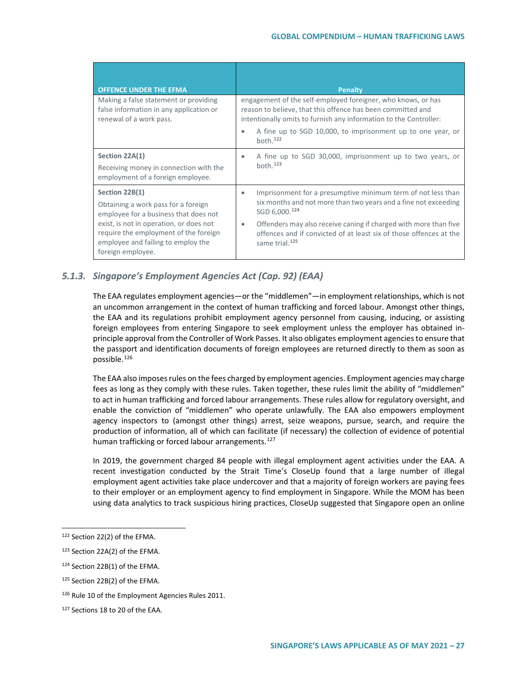| <b>OFFENCE UNDER THE EFMA</b>                                                                                                               | <b>Penalty</b>                                                                                                                                                                                   |
|---------------------------------------------------------------------------------------------------------------------------------------------|--------------------------------------------------------------------------------------------------------------------------------------------------------------------------------------------------|
| Making a false statement or providing<br>false information in any application or<br>renewal of a work pass.                                 | engagement of the self-employed foreigner, who knows, or has<br>reason to believe, that this offence has been committed and<br>intentionally omits to furnish any information to the Controller: |
|                                                                                                                                             | A fine up to SGD 10,000, to imprisonment up to one year, or<br>$\bullet$<br>both. $122$                                                                                                          |
| Section 22A(1)                                                                                                                              | A fine up to SGD 30,000, imprisonment up to two years, or                                                                                                                                        |
| Receiving money in connection with the<br>employment of a foreign employee.                                                                 | both. $123$                                                                                                                                                                                      |
| Section 22B(1)                                                                                                                              | Imprisonment for a presumptive minimum term of not less than<br>٠                                                                                                                                |
| Obtaining a work pass for a foreign<br>employee for a business that does not                                                                | six months and not more than two years and a fine not exceeding<br>SGD 6,000.124                                                                                                                 |
| exist, is not in operation, or does not<br>require the employment of the foreign<br>employee and failing to employ the<br>foreign employee. | Offenders may also receive caning if charged with more than five<br>٠<br>offences and if convicted of at least six of those offences at the<br>same trial. <sup>125</sup>                        |

# *5.1.3. Singapore's Employment Agencies Act (Cap. 92) (EAA)*

The EAA regulates employment agencies—or the "middlemen"—in employment relationships, which is not an uncommon arrangement in the context of human trafficking and forced labour. Amongst other things, the EAA and its regulations prohibit employment agency personnel from causing, inducing, or assisting foreign employees from entering Singapore to seek employment unless the employer has obtained inprinciple approval from the Controller of Work Passes. It also obligates employment agencies to ensure that the passport and identification documents of foreign employees are returned directly to them as soon as possible.[126](#page-26-4)

The EAA also imposes rules on the fees charged by employment agencies. Employment agencies may charge fees as long as they comply with these rules. Taken together, these rules limit the ability of "middlemen" to act in human trafficking and forced labour arrangements. These rules allow for regulatory oversight, and enable the conviction of "middlemen" who operate unlawfully. The EAA also empowers employment agency inspectors to (amongst other things) arrest, seize weapons, pursue, search, and require the production of information, all of which can facilitate (if necessary) the collection of evidence of potential human trafficking or forced labour arrangements.<sup>[127](#page-26-5)</sup>

In 2019, the government charged 84 people with illegal employment agent activities under the EAA. A recent investigation conducted by the Strait Time's CloseUp found that a large number of illegal employment agent activities take place undercover and that a majority of foreign workers are paying fees to their employer or an employment agency to find employment in Singapore. While the MOM has been using data analytics to track suspicious hiring practices, CloseUp suggested that Singapore open an online

<span id="page-26-0"></span> <sup>122</sup> Section 22(2) of the EFMA.

<span id="page-26-1"></span><sup>123</sup> Section 22A(2) of the EFMA.

<span id="page-26-2"></span><sup>124</sup> Section 22B(1) of the EFMA.

<span id="page-26-3"></span><sup>125</sup> Section 22B(2) of the EFMA.

<span id="page-26-4"></span><sup>126</sup> Rule 10 of the Employment Agencies Rules 2011.

<span id="page-26-5"></span><sup>127</sup> Sections 18 to 20 of the EAA.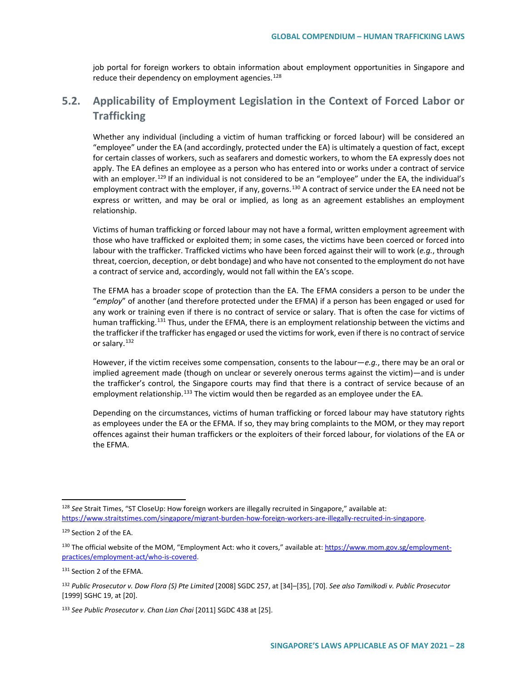job portal for foreign workers to obtain information about employment opportunities in Singapore and reduce their dependency on employment agencies.<sup>[128](#page-27-0)</sup>

# **5.2. Applicability of Employment Legislation in the Context of Forced Labor or Trafficking**

Whether any individual (including a victim of human trafficking or forced labour) will be considered an "employee" under the EA (and accordingly, protected under the EA) is ultimately a question of fact, except for certain classes of workers, such as seafarers and domestic workers, to whom the EA expressly does not apply. The EA defines an employee as a person who has entered into or works under a contract of service with an employer.<sup>[129](#page-27-1)</sup> If an individual is not considered to be an "employee" under the EA, the individual's employment contract with the employer, if any, governs.<sup>[130](#page-27-2)</sup> A contract of service under the EA need not be express or written, and may be oral or implied, as long as an agreement establishes an employment relationship.

Victims of human trafficking or forced labour may not have a formal, written employment agreement with those who have trafficked or exploited them; in some cases, the victims have been coerced or forced into labour with the trafficker. Trafficked victims who have been forced against their will to work (*e.g.*, through threat, coercion, deception, or debt bondage) and who have not consented to the employment do not have a contract of service and, accordingly, would not fall within the EA's scope.

The EFMA has a broader scope of protection than the EA. The EFMA considers a person to be under the "*employ*" of another (and therefore protected under the EFMA) if a person has been engaged or used for any work or training even if there is no contract of service or salary. That is often the case for victims of human trafficking.<sup>[131](#page-27-3)</sup> Thus, under the EFMA, there is an employment relationship between the victims and the trafficker if the trafficker has engaged or used the victims for work, even if there is no contract of service or salary.<sup>[132](#page-27-4)</sup>

However, if the victim receives some compensation, consents to the labour—*e.g.*, there may be an oral or implied agreement made (though on unclear or severely onerous terms against the victim)—and is under the trafficker's control, the Singapore courts may find that there is a contract of service because of an employment relationship.<sup>[133](#page-27-5)</sup> The victim would then be regarded as an employee under the EA.

Depending on the circumstances, victims of human trafficking or forced labour may have statutory rights as employees under the EA or the EFMA. If so, they may bring complaints to the MOM, or they may report offences against their human traffickers or the exploiters of their forced labour, for violations of the EA or the EFMA.

<span id="page-27-0"></span> <sup>128</sup> *See* Strait Times, "ST CloseUp: How foreign workers are illegally recruited in Singapore," available at: [https://www.straitstimes.com/singapore/migrant-burden-how-foreign-workers-are-illegally-recruited-in-singapore.](https://www.straitstimes.com/singapore/migrant-burden-how-foreign-workers-are-illegally-recruited-in-singapore)

<span id="page-27-1"></span><sup>129</sup> Section 2 of the EA.

<span id="page-27-2"></span><sup>&</sup>lt;sup>130</sup> The official website of the MOM, "Employment Act: who it covers," available at: [https://www.mom.gov.sg/employment](https://www.mom.gov.sg/employment-practices/employment-act/who-is-covered)[practices/employment-act/who-is-covered.](https://www.mom.gov.sg/employment-practices/employment-act/who-is-covered)

<span id="page-27-3"></span><sup>131</sup> Section 2 of the EFMA.

<span id="page-27-4"></span><sup>132</sup> *Public Prosecutor v. Dow Flora (S) Pte Limited* [2008] SGDC 257, at [34]–[35], [70]. *See also Tamilkodi v. Public Prosecutor*  [1999] SGHC 19, at [20].

<span id="page-27-5"></span><sup>133</sup> *See Public Prosecutor v. Chan Lian Chai* [2011] SGDC 438 at [25].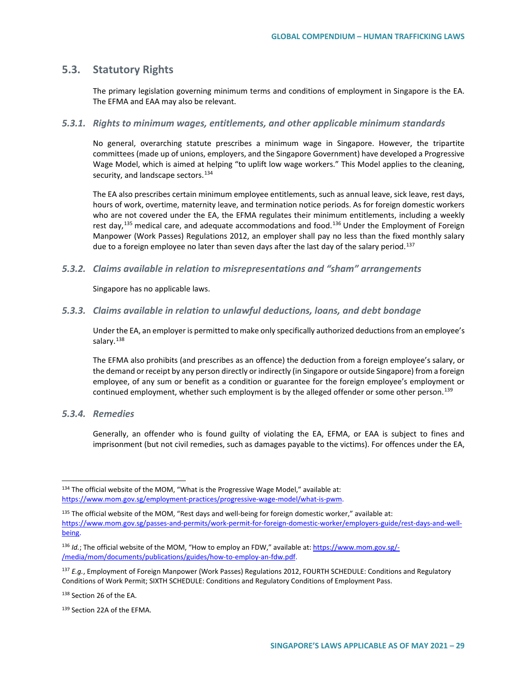## **5.3. Statutory Rights**

The primary legislation governing minimum terms and conditions of employment in Singapore is the EA. The EFMA and EAA may also be relevant.

## *5.3.1. Rights to minimum wages, entitlements, and other applicable minimum standards*

No general, overarching statute prescribes a minimum wage in Singapore. However, the tripartite committees (made up of unions, employers, and the Singapore Government) have developed a Progressive Wage Model, which is aimed at helping "to uplift low wage workers." This Model applies to the cleaning, security, and landscape sectors.<sup>[134](#page-28-0)</sup>

The EA also prescribes certain minimum employee entitlements, such as annual leave, sick leave, rest days, hours of work, overtime, maternity leave, and termination notice periods. As for foreign domestic workers who are not covered under the EA, the EFMA regulates their minimum entitlements, including a weekly rest day,<sup>[135](#page-28-1)</sup> medical care, and adequate accommodations and food.<sup>[136](#page-28-2)</sup> Under the Employment of Foreign Manpower (Work Passes) Regulations 2012, an employer shall pay no less than the fixed monthly salary due to a foreign employee no later than seven days after the last day of the salary period.<sup>[137](#page-28-3)</sup>

#### *5.3.2. Claims available in relation to misrepresentations and "sham" arrangements*

Singapore has no applicable laws.

#### *5.3.3. Claims available in relation to unlawful deductions, loans, and debt bondage*

Under the EA, an employer is permitted to make only specifically authorized deductions from an employee's salary.<sup>[138](#page-28-4)</sup>

The EFMA also prohibits (and prescribes as an offence) the deduction from a foreign employee's salary, or the demand or receipt by any person directly or indirectly (in Singapore or outside Singapore) from a foreign employee, of any sum or benefit as a condition or guarantee for the foreign employee's employment or continued employment, whether such employment is by the alleged offender or some other person.<sup>[139](#page-28-5)</sup>

*5.3.4. Remedies* 

Generally, an offender who is found guilty of violating the EA, EFMA, or EAA is subject to fines and imprisonment (but not civil remedies, such as damages payable to the victims). For offences under the EA,

<span id="page-28-4"></span>138 Section 26 of the EA.

<span id="page-28-0"></span><sup>134</sup> The official website of the MOM, "What is the Progressive Wage Model," available at: [https://www.mom.gov.sg/employment-practices/progressive-wage-model/what-is-pwm.](https://www.mom.gov.sg/employment-practices/progressive-wage-model/what-is-pwm)

<span id="page-28-1"></span> $135$  The official website of the MOM, "Rest days and well-being for foreign domestic worker," available at: [https://www.mom.gov.sg/passes-and-permits/work-permit-for-foreign-domestic-worker/employers-guide/rest-days-and-well](https://www.mom.gov.sg/passes-and-permits/work-permit-for-foreign-domestic-worker/employers-guide/rest-days-and-well-being)[being.](https://www.mom.gov.sg/passes-and-permits/work-permit-for-foreign-domestic-worker/employers-guide/rest-days-and-well-being)

<span id="page-28-2"></span><sup>136</sup> *Id.*; The official website of the MOM, "How to employ an FDW," available at: [https://www.mom.gov.sg/-](https://www.mom.gov.sg/-/media/mom/documents/publications/guides/how-to-employ-an-fdw.pdf) [/media/mom/documents/publications/guides/how-to-employ-an-fdw.pdf.](https://www.mom.gov.sg/-/media/mom/documents/publications/guides/how-to-employ-an-fdw.pdf)

<span id="page-28-3"></span><sup>137</sup> *E.g.*, Employment of Foreign Manpower (Work Passes) Regulations 2012, FOURTH SCHEDULE: Conditions and Regulatory Conditions of Work Permit; SIXTH SCHEDULE: Conditions and Regulatory Conditions of Employment Pass.

<span id="page-28-5"></span><sup>139</sup> Section 22A of the EFMA.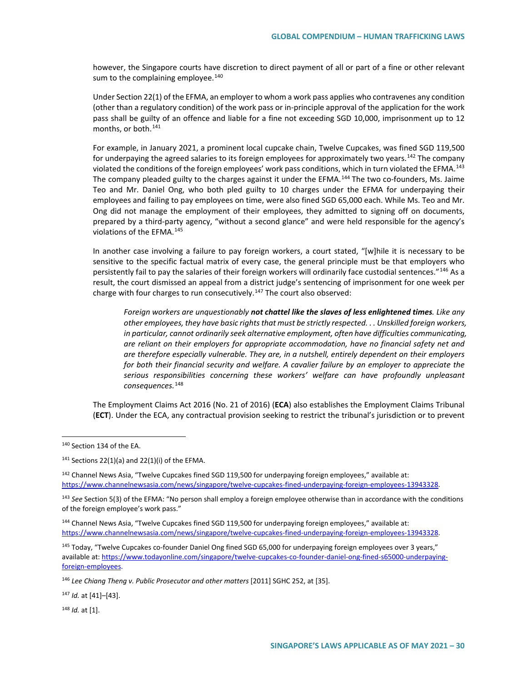however, the Singapore courts have discretion to direct payment of all or part of a fine or other relevant sum to the complaining employee. $140$ 

Under Section 22(1) of the EFMA, an employer to whom a work pass applies who contravenes any condition (other than a regulatory condition) of the work pass or in-principle approval of the application for the work pass shall be guilty of an offence and liable for a fine not exceeding SGD 10,000, imprisonment up to 12 months, or both.<sup>[141](#page-29-1)</sup>

For example, in January 2021, a prominent local cupcake chain, Twelve Cupcakes, was fined SGD 119,500 for underpaying the agreed salaries to its foreign employees for approximately two years.<sup>[142](#page-29-2)</sup> The company violated the conditions of the foreign employees' work pass conditions, which in turn violated the EFMA.<sup>[143](#page-29-3)</sup> The company pleaded guilty to the charges against it under the EFMA.<sup>[144](#page-29-4)</sup> The two co-founders, Ms. Jaime Teo and Mr. Daniel Ong, who both pled guilty to 10 charges under the EFMA for underpaying their employees and failing to pay employees on time, were also fined SGD 65,000 each. While Ms. Teo and Mr. Ong did not manage the employment of their employees, they admitted to signing off on documents, prepared by a third-party agency, "without a second glance" and were held responsible for the agency's violations of the EFMA.[145](#page-29-5)

In another case involving a failure to pay foreign workers, a court stated, "[w]hile it is necessary to be sensitive to the specific factual matrix of every case, the general principle must be that employers who persistently fail to pay the salaries of their foreign workers will ordinarily face custodial sentences."[146](#page-29-6) As a result, the court dismissed an appeal from a district judge's sentencing of imprisonment for one week per charge with four charges to run consecutively.<sup>[147](#page-29-7)</sup> The court also observed:

*Foreign workers are unquestionably not chattel like the slaves of less enlightened times. Like any other employees, they have basic rights that must be strictly respected. . . Unskilled foreign workers, in particular, cannot ordinarily seek alternative employment, often have difficulties communicating, are reliant on their employers for appropriate accommodation, have no financial safety net and are therefore especially vulnerable. They are, in a nutshell, entirely dependent on their employers for both their financial security and welfare. A cavalier failure by an employer to appreciate the serious responsibilities concerning these workers' welfare can have profoundly unpleasant consequences.*[148](#page-29-8)

The Employment Claims Act 2016 (No. 21 of 2016) (**ECA**) also establishes the Employment Claims Tribunal (**ECT**). Under the ECA, any contractual provision seeking to restrict the tribunal's jurisdiction or to prevent

<span id="page-29-2"></span><sup>142</sup> Channel News Asia, "Twelve Cupcakes fined SGD 119,500 for underpaying foreign employees," available at: [https://www.channelnewsasia.com/news/singapore/twelve-cupcakes-fined-underpaying-foreign-employees-13943328.](https://www.channelnewsasia.com/news/singapore/twelve-cupcakes-fined-underpaying-foreign-employees-13943328) 

<span id="page-29-3"></span><sup>143</sup> *See* Section 5(3) of the EFMA: "No person shall employ a foreign employee otherwise than in accordance with the conditions of the foreign employee's work pass."

<span id="page-29-4"></span><sup>144</sup> Channel News Asia, "Twelve Cupcakes fined SGD 119,500 for underpaying foreign employees," available at: [https://www.channelnewsasia.com/news/singapore/twelve-cupcakes-fined-underpaying-foreign-employees-13943328.](https://www.channelnewsasia.com/news/singapore/twelve-cupcakes-fined-underpaying-foreign-employees-13943328) 

<span id="page-29-7"></span><sup>147</sup> *Id.* at [41]–[43].

<span id="page-29-8"></span><sup>148</sup> *Id.* at [1].

<span id="page-29-0"></span> <sup>140</sup> Section 134 of the EA.

<span id="page-29-1"></span> $141$  Sections 22(1)(a) and 22(1)(i) of the EFMA.

<span id="page-29-5"></span><sup>&</sup>lt;sup>145</sup> Today, "Twelve Cupcakes co-founder Daniel Ong fined SGD 65,000 for underpaying foreign employees over 3 years," available at[: https://www.todayonline.com/singapore/twelve-cupcakes-co-founder-daniel-ong-fined-s65000-underpaying](https://www.todayonline.com/singapore/twelve-cupcakes-co-founder-daniel-ong-fined-s65000-underpaying-foreign-employees)[foreign-employees.](https://www.todayonline.com/singapore/twelve-cupcakes-co-founder-daniel-ong-fined-s65000-underpaying-foreign-employees)

<span id="page-29-6"></span><sup>146</sup> *Lee Chiang Theng v. Public Prosecutor and other matters* [2011] SGHC 252, at [35].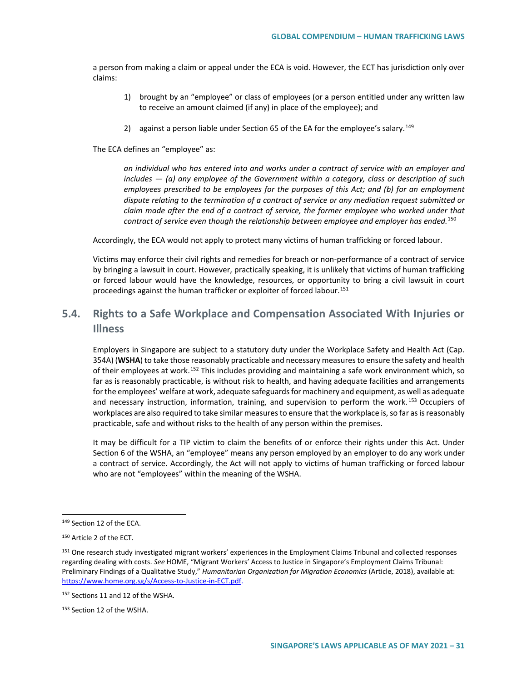a person from making a claim or appeal under the ECA is void. However, the ECT has jurisdiction only over claims:

- 1) brought by an "employee" or class of employees (or a person entitled under any written law to receive an amount claimed (if any) in place of the employee); and
- 2) against a person liable under Section 65 of the EA for the employee's salary.<sup>[149](#page-30-0)</sup>

The ECA defines an "employee" as:

*an individual who has entered into and works under a contract of service with an employer and includes — (a) any employee of the Government within a category, class or description of such employees prescribed to be employees for the purposes of this Act; and (b) for an employment dispute relating to the termination of a contract of service or any mediation request submitted or claim made after the end of a contract of service, the former employee who worked under that contract of service even though the relationship between employee and employer has ended.*[150](#page-30-1)

Accordingly, the ECA would not apply to protect many victims of human trafficking or forced labour.

Victims may enforce their civil rights and remedies for breach or non-performance of a contract of service by bringing a lawsuit in court. However, practically speaking, it is unlikely that victims of human trafficking or forced labour would have the knowledge, resources, or opportunity to bring a civil lawsuit in court proceedings against the human trafficker or exploiter of forced labour.<sup>[151](#page-30-2)</sup>

# **5.4. Rights to a Safe Workplace and Compensation Associated With Injuries or Illness**

Employers in Singapore are subject to a statutory duty under the Workplace Safety and Health Act (Cap. 354A) (**WSHA**) to take those reasonably practicable and necessary measures to ensure the safety and health of their employees at work.<sup>[152](#page-30-3)</sup> This includes providing and maintaining a safe work environment which, so far as is reasonably practicable, is without risk to health, and having adequate facilities and arrangements for the employees' welfare at work, adequate safeguards for machinery and equipment, as well as adequate and necessary instruction, information, training, and supervision to perform the work.<sup>[153](#page-30-4)</sup> Occupiers of workplaces are also required to take similar measures to ensure that the workplace is, so far as is reasonably practicable, safe and without risks to the health of any person within the premises.

It may be difficult for a TIP victim to claim the benefits of or enforce their rights under this Act. Under Section 6 of the WSHA, an "employee" means any person employed by an employer to do any work under a contract of service. Accordingly, the Act will not apply to victims of human trafficking or forced labour who are not "employees" within the meaning of the WSHA.

<span id="page-30-0"></span><sup>149</sup> Section 12 of the ECA.

<span id="page-30-1"></span><sup>150</sup> Article 2 of the ECT.

<span id="page-30-2"></span><sup>&</sup>lt;sup>151</sup> One research study investigated migrant workers' experiences in the Employment Claims Tribunal and collected responses regarding dealing with costs. *See* HOME, "Migrant Workers' Access to Justice in Singapore's Employment Claims Tribunal: Preliminary Findings of a Qualitative Study," *Humanitarian Organization for Migration Economics* (Article, 2018), available at: [https://www.home.org.sg/s/Access-to-Justice-in-ECT.pdf.](https://www.home.org.sg/s/Access-to-Justice-in-ECT.pdf)

<span id="page-30-3"></span><sup>152</sup> Sections 11 and 12 of the WSHA.

<span id="page-30-4"></span><sup>153</sup> Section 12 of the WSHA.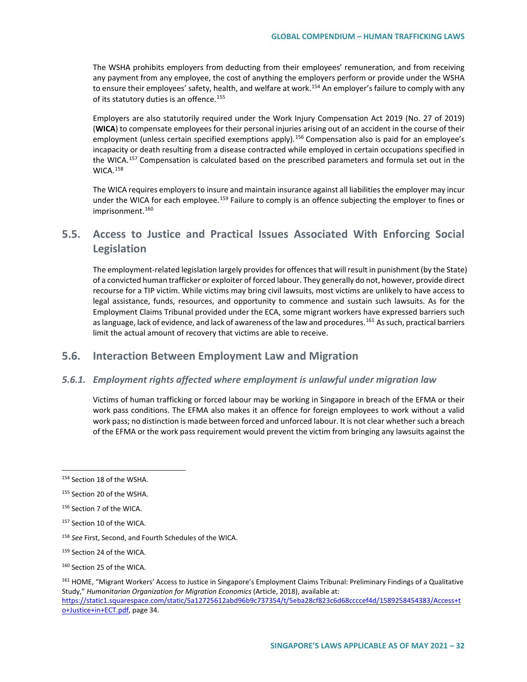The WSHA prohibits employers from deducting from their employees' remuneration, and from receiving any payment from any employee, the cost of anything the employers perform or provide under the WSHA to ensure their employees' safety, health, and welfare at work.<sup>[154](#page-31-0)</sup> An employer's failure to comply with any of its statutory duties is an offence.<sup>[155](#page-31-1)</sup>

Employers are also statutorily required under the Work Injury Compensation Act 2019 (No. 27 of 2019) (**WICA**) to compensate employees for their personal injuries arising out of an accident in the course of their employment (unless certain specified exemptions apply).<sup>[156](#page-31-2)</sup> Compensation also is paid for an employee's incapacity or death resulting from a disease contracted while employed in certain occupations specified in the WICA.<sup>[157](#page-31-3)</sup> Compensation is calculated based on the prescribed parameters and formula set out in the WICA.[158](#page-31-4)

The WICA requires employers to insure and maintain insurance against all liabilities the employer may incur under the WICA for each employee.<sup>[159](#page-31-5)</sup> Failure to comply is an offence subjecting the employer to fines or imprisonment.<sup>[160](#page-31-6)</sup>

# **5.5. Access to Justice and Practical Issues Associated With Enforcing Social Legislation**

The employment-related legislation largely provides for offences that will result in punishment (by the State) of a convicted human trafficker or exploiter of forced labour. They generally do not, however, provide direct recourse for a TIP victim. While victims may bring civil lawsuits, most victims are unlikely to have access to legal assistance, funds, resources, and opportunity to commence and sustain such lawsuits. As for the Employment Claims Tribunal provided under the ECA, some migrant workers have expressed barriers such as language, lack of evidence, and lack of awareness of the law and procedures.<sup>[161](#page-31-7)</sup> As such, practical barriers limit the actual amount of recovery that victims are able to receive.

## **5.6. Interaction Between Employment Law and Migration**

## *5.6.1. Employment rights affected where employment is unlawful under migration law*

Victims of human trafficking or forced labour may be working in Singapore in breach of the EFMA or their work pass conditions. The EFMA also makes it an offence for foreign employees to work without a valid work pass; no distinction is made between forced and unforced labour. It is not clear whether such a breach of the EFMA or the work pass requirement would prevent the victim from bringing any lawsuits against the

<span id="page-31-0"></span><sup>154</sup> Section 18 of the WSHA.

<span id="page-31-1"></span><sup>155</sup> Section 20 of the WSHA.

<span id="page-31-2"></span><sup>156</sup> Section 7 of the WICA.

<span id="page-31-3"></span><sup>157</sup> Section 10 of the WICA.

<span id="page-31-4"></span><sup>158</sup> *See* First, Second, and Fourth Schedules of the WICA.

<span id="page-31-5"></span><sup>159</sup> Section 24 of the WICA.

<span id="page-31-6"></span><sup>160</sup> Section 25 of the WICA.

<span id="page-31-7"></span><sup>161</sup> HOME, "Migrant Workers' Access to Justice in Singapore's Employment Claims Tribunal: Preliminary Findings of a Qualitative Study," *Humanitarian Organization for Migration Economics* (Article, 2018), available at: [https://static1.squarespace.com/static/5a12725612abd96b9c737354/t/5eba28cf823c6d68ccccef4d/1589258454383/Access+t](https://static1.squarespace.com/static/5a12725612abd96b9c737354/t/5eba28cf823c6d68ccccef4d/1589258454383/Access+to+Justice+in+ECT.pdf) [o+Justice+in+ECT.pdf,](https://static1.squarespace.com/static/5a12725612abd96b9c737354/t/5eba28cf823c6d68ccccef4d/1589258454383/Access+to+Justice+in+ECT.pdf) page 34.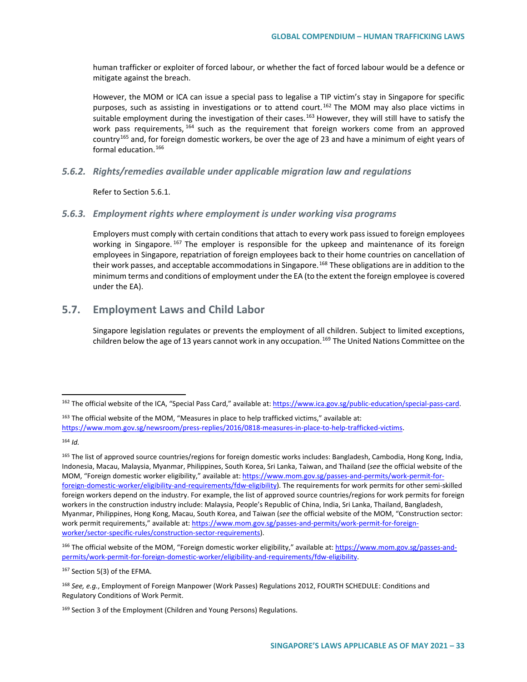human trafficker or exploiter of forced labour, or whether the fact of forced labour would be a defence or mitigate against the breach.

However, the MOM or ICA can issue a special pass to legalise a TIP victim's stay in Singapore for specific purposes, such as assisting in investigations or to attend court.<sup>[162](#page-32-0)</sup> The MOM may also place victims in suitable employment during the investigation of their cases.<sup>[163](#page-32-1)</sup> However, they will still have to satisfy the work pass requirements, <sup>[164](#page-32-2)</sup> such as the requirement that foreign workers come from an approved country[165](#page-32-3) and, for foreign domestic workers, be over the age of 23 and have a minimum of eight years of formal education.<sup>[166](#page-32-4)</sup>

### *5.6.2. Rights/remedies available under applicable migration law and regulations*

Refer to Section 5.6.1.

#### *5.6.3. Employment rights where employment is under working visa programs*

Employers must comply with certain conditions that attach to every work pass issued to foreign employees working in Singapore. <sup>[167](#page-32-5)</sup> The employer is responsible for the upkeep and maintenance of its foreign employees in Singapore, repatriation of foreign employees back to their home countries on cancellation of their work passes, and acceptable accommodations in Singapore.<sup>[168](#page-32-6)</sup> These obligations are in addition to the minimum terms and conditions of employment under the EA (to the extent the foreign employee is covered under the EA).

## **5.7. Employment Laws and Child Labor**

Singapore legislation regulates or prevents the employment of all children. Subject to limited exceptions, children below the age of 13 years cannot work in any occupation.<sup>[169](#page-32-7)</sup> The United Nations Committee on the

<span id="page-32-1"></span><sup>163</sup> The official website of the MOM. "Measures in place to help trafficked victims," available at: [https://www.mom.gov.sg/newsroom/press-replies/2016/0818-measures-in-place-to-help-trafficked-victims.](https://www.mom.gov.sg/newsroom/press-replies/2016/0818-measures-in-place-to-help-trafficked-victims)

<span id="page-32-2"></span><sup>164</sup> *Id.* 

<span id="page-32-4"></span><sup>166</sup> The official website of the MOM, "Foreign domestic worker eligibility," available at[: https://www.mom.gov.sg/passes-and](https://www.mom.gov.sg/passes-and-permits/work-permit-for-foreign-domestic-worker/eligibility-and-requirements/fdw-eligibility)[permits/work-permit-for-foreign-domestic-worker/eligibility-and-requirements/fdw-eligibility.](https://www.mom.gov.sg/passes-and-permits/work-permit-for-foreign-domestic-worker/eligibility-and-requirements/fdw-eligibility)

<span id="page-32-5"></span><sup>167</sup> Section 5(3) of the EFMA.

<span id="page-32-0"></span> <sup>162</sup> The official website of the ICA, "Special Pass Card," available at: [https://www.ica.gov.sg/public-education/special-pass-card.](https://www.ica.gov.sg/public-education/special-pass-card)

<span id="page-32-3"></span><sup>165</sup> The list of approved source countries/regions for foreign domestic works includes: Bangladesh, Cambodia, Hong Kong, India, Indonesia, Macau, Malaysia, Myanmar, Philippines, South Korea, Sri Lanka, Taiwan, and Thailand (*see* the official website of the MOM, "Foreign domestic worker eligibility," available at: [https://www.mom.gov.sg/passes-and-permits/work-permit-for](https://www.mom.gov.sg/passes-and-permits/work-permit-for-foreign-domestic-worker/eligibility-and-requirements/fdw-eligibility)[foreign-domestic-worker/eligibility-and-requirements/fdw-eligibility\)](https://www.mom.gov.sg/passes-and-permits/work-permit-for-foreign-domestic-worker/eligibility-and-requirements/fdw-eligibility). The requirements for work permits for other semi-skilled foreign workers depend on the industry. For example, the list of approved source countries/regions for work permits for foreign workers in the construction industry include: Malaysia, People's Republic of China, India, Sri Lanka, Thailand, Bangladesh, Myanmar, Philippines, Hong Kong, Macau, South Korea, and Taiwan (*see* the official website of the MOM, "Construction sector: work permit requirements," available at: [https://www.mom.gov.sg/passes-and-permits/work-permit-for-foreign](https://www.mom.gov.sg/passes-and-permits/work-permit-for-foreign-worker/sector-specific-rules/construction-sector-requirements)[worker/sector-specific-rules/construction-sector-requirements\)](https://www.mom.gov.sg/passes-and-permits/work-permit-for-foreign-worker/sector-specific-rules/construction-sector-requirements).

<span id="page-32-6"></span><sup>168</sup> *See, e.g.*, Employment of Foreign Manpower (Work Passes) Regulations 2012, FOURTH SCHEDULE: Conditions and Regulatory Conditions of Work Permit.

<span id="page-32-7"></span><sup>169</sup> Section 3 of the Employment (Children and Young Persons) Regulations.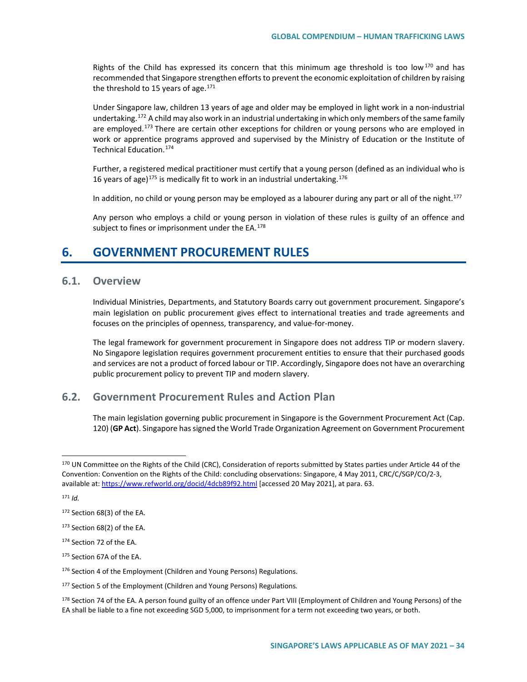Rights of the Child has expressed its concern that this minimum age threshold is too low<sup>[170](#page-33-0)</sup> and has recommended that Singapore strengthen efforts to prevent the economic exploitation of children by raising the threshold to 15 years of age. $171$ 

Under Singapore law, children 13 years of age and older may be employed in light work in a non-industrial undertaking.<sup>[172](#page-33-2)</sup> A child may also work in an industrial undertaking in which only members of the same family are employed.<sup>[173](#page-33-3)</sup> There are certain other exceptions for children or young persons who are employed in work or apprentice programs approved and supervised by the Ministry of Education or the Institute of Technical Education.[174](#page-33-4)

Further, a registered medical practitioner must certify that a young person (defined as an individual who is 16 years of age)<sup>[175](#page-33-5)</sup> is medically fit to work in an industrial undertaking.<sup>[176](#page-33-6)</sup>

In addition, no child or young person may be employed as a labourer during any part or all of the night.<sup>[177](#page-33-7)</sup>

Any person who employs a child or young person in violation of these rules is guilty of an offence and subject to fines or imprisonment under the  $EA$ .<sup>[178](#page-33-8)</sup>

# **6. GOVERNMENT PROCUREMENT RULES**

## **6.1. Overview**

Individual Ministries, Departments, and Statutory Boards carry out government procurement*.* Singapore's main legislation on public procurement gives effect to international treaties and trade agreements and focuses on the principles of openness, transparency, and value-for-money.

The legal framework for government procurement in Singapore does not address TIP or modern slavery. No Singapore legislation requires government procurement entities to ensure that their purchased goods and services are not a product of forced labour or TIP. Accordingly, Singapore does not have an overarching public procurement policy to prevent TIP and modern slavery.

# **6.2. Government Procurement Rules and Action Plan**

The main legislation governing public procurement in Singapore is the Government Procurement Act (Cap. 120) (**GP Act**). Singapore has signed the World Trade Organization Agreement on Government Procurement

<span id="page-33-1"></span><sup>171</sup> *Id.*

<span id="page-33-0"></span><sup>170</sup> UN Committee on the Rights of the Child (CRC), Consideration of reports submitted by States parties under Article 44 of the Convention: Convention on the Rights of the Child: concluding observations: Singapore, 4 May 2011, CRC/C/SGP/CO/2-3, available at[: https://www.refworld.org/docid/4dcb89f92.html](https://www.refworld.org/docid/4dcb89f92.html) [accessed 20 May 2021], at para. 63.

<span id="page-33-2"></span><sup>172</sup> Section 68(3) of the EA.

<span id="page-33-3"></span><sup>173</sup> Section 68(2) of the EA.

<span id="page-33-4"></span><sup>174</sup> Section 72 of the EA.

<span id="page-33-5"></span><sup>175</sup> Section 67A of the EA.

<span id="page-33-6"></span><sup>176</sup> Section 4 of the Employment (Children and Young Persons) Regulations.

<span id="page-33-7"></span><sup>177</sup> Section 5 of the Employment (Children and Young Persons) Regulations*.*

<span id="page-33-8"></span><sup>178</sup> Section 74 of the EA. A person found guilty of an offence under Part VIII (Employment of Children and Young Persons) of the EA shall be liable to a fine not exceeding SGD 5,000, to imprisonment for a term not exceeding two years, or both.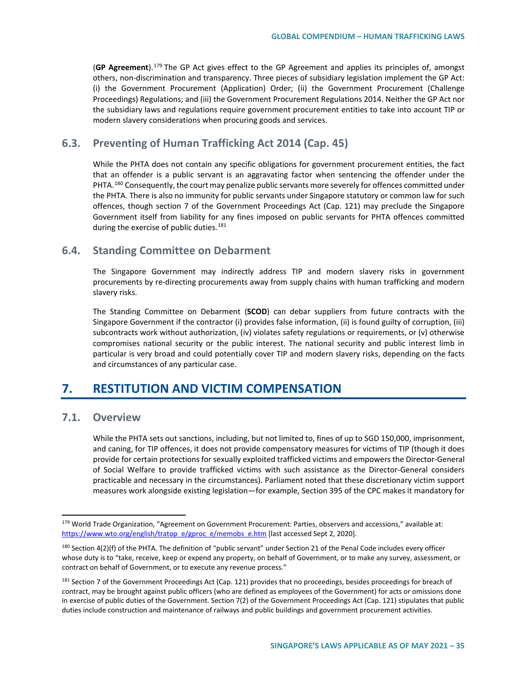(**GP Agreement**).[179](#page-34-0) The GP Act gives effect to the GP Agreement and applies its principles of, amongst others, non-discrimination and transparency. Three pieces of subsidiary legislation implement the GP Act: (i) the Government Procurement (Application) Order; (ii) the Government Procurement (Challenge Proceedings) Regulations; and (iii) the Government Procurement Regulations 2014. Neither the GP Act nor the subsidiary laws and regulations require government procurement entities to take into account TIP or modern slavery considerations when procuring goods and services.

# **6.3. Preventing of Human Trafficking Act 2014 (Cap. 45)**

While the PHTA does not contain any specific obligations for government procurement entities, the fact that an offender is a public servant is an aggravating factor when sentencing the offender under the PHTA.<sup>[180](#page-34-1)</sup> Consequently, the court may penalize public servants more severely for offences committed under the PHTA. There is also no immunity for public servants under Singapore statutory or common law for such offences, though section 7 of the Government Proceedings Act (Cap. 121) may preclude the Singapore Government itself from liability for any fines imposed on public servants for PHTA offences committed during the exercise of public duties. $181$ 

## **6.4. Standing Committee on Debarment**

The Singapore Government may indirectly address TIP and modern slavery risks in government procurements by re-directing procurements away from supply chains with human trafficking and modern slavery risks.

The Standing Committee on Debarment (**SCOD**) can debar suppliers from future contracts with the Singapore Government if the contractor (i) provides false information, (ii) is found guilty of corruption, (iii) subcontracts work without authorization, (iv) violates safety regulations or requirements, or (v) otherwise compromises national security or the public interest. The national security and public interest limb in particular is very broad and could potentially cover TIP and modern slavery risks, depending on the facts and circumstances of any particular case.

# **7. RESTITUTION AND VICTIM COMPENSATION**

## **7.1. Overview**

While the PHTA sets out sanctions, including, but not limited to, fines of up to SGD 150,000, imprisonment, and caning, for TIP offences, it does not provide compensatory measures for victims of TIP (though it does provide for certain protections for sexually exploited trafficked victims and empowers the Director-General of Social Welfare to provide trafficked victims with such assistance as the Director-General considers practicable and necessary in the circumstances). Parliament noted that these discretionary victim support measures work alongside existing legislation—for example, Section 395 of the CPC makes it mandatory for

<span id="page-34-0"></span><sup>179</sup> World Trade Organization, "Agreement on Government Procurement: Parties, observers and accessions," available at: [https://www.wto.org/english/tratop\\_e/gproc\\_e/memobs\\_e.htm](https://www.wto.org/english/tratop_e/gproc_e/memobs_e.htm) [last accessed Sept 2, 2020].

<span id="page-34-1"></span><sup>180</sup> Section 4(2)(f) of the PHTA. The definition of "public servant" under Section 21 of the Penal Code includes every officer whose duty is to "take, receive, keep or expend any property, on behalf of Government, or to make any survey, assessment, or contract on behalf of Government, or to execute any revenue process."

<span id="page-34-2"></span><sup>&</sup>lt;sup>181</sup> Section 7 of the Government Proceedings Act (Cap. 121) provides that no proceedings, besides proceedings for breach of contract, may be brought against public officers (who are defined as employees of the Government) for acts or omissions done in exercise of public duties of the Government. Section 7(2) of the Government Proceedings Act (Cap. 121) stipulates that public duties include construction and maintenance of railways and public buildings and government procurement activities.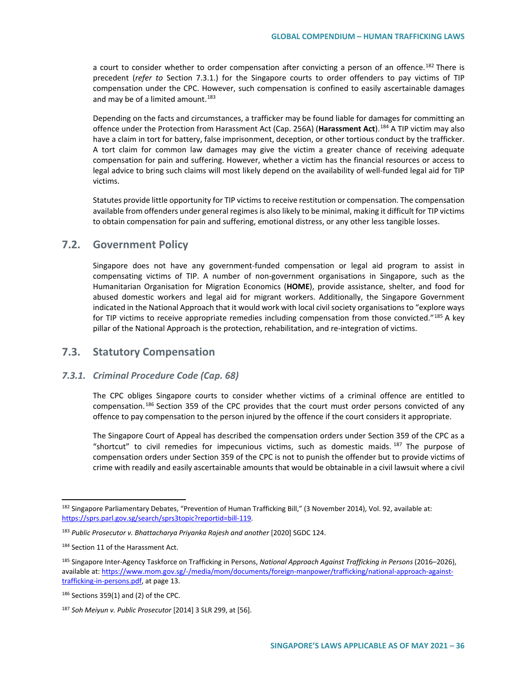a court to consider whether to order compensation after convicting a person of an offence.<sup>[182](#page-35-0)</sup> There is precedent (*refer to* Section 7.3.1.) for the Singapore courts to order offenders to pay victims of TIP compensation under the CPC. However, such compensation is confined to easily ascertainable damages and may be of a limited amount.<sup>[183](#page-35-1)</sup>

Depending on the facts and circumstances, a trafficker may be found liable for damages for committing an offence under the Protection from Harassment Act (Cap. 256A) (**Harassment Act**).[184](#page-35-2) A TIP victim may also have a claim in tort for battery, false imprisonment, deception, or other tortious conduct by the trafficker. A tort claim for common law damages may give the victim a greater chance of receiving adequate compensation for pain and suffering. However, whether a victim has the financial resources or access to legal advice to bring such claims will most likely depend on the availability of well-funded legal aid for TIP victims.

Statutes provide little opportunity for TIP victims to receive restitution or compensation. The compensation available from offenders under general regimes is also likely to be minimal, making it difficult for TIP victims to obtain compensation for pain and suffering, emotional distress, or any other less tangible losses.

# **7.2. Government Policy**

Singapore does not have any government-funded compensation or legal aid program to assist in compensating victims of TIP. A number of non-government organisations in Singapore, such as the Humanitarian Organisation for Migration Economics (**HOME**), provide assistance, shelter, and food for abused domestic workers and legal aid for migrant workers. Additionally, the Singapore Government indicated in the National Approach that it would work with local civil society organisations to "explore ways for TIP victims to receive appropriate remedies including compensation from those convicted."[185](#page-35-3) A key pillar of the National Approach is the protection, rehabilitation, and re-integration of victims.

## **7.3. Statutory Compensation**

## *7.3.1. Criminal Procedure Code (Cap. 68)*

The CPC obliges Singapore courts to consider whether victims of a criminal offence are entitled to compensation.<sup>[186](#page-35-4)</sup> Section 359 of the CPC provides that the court must order persons convicted of any offence to pay compensation to the person injured by the offence if the court considers it appropriate.

The Singapore Court of Appeal has described the compensation orders under Section 359 of the CPC as a "shortcut" to civil remedies for impecunious victims, such as domestic maids.  $187$  The purpose of compensation orders under Section 359 of the CPC is not to punish the offender but to provide victims of crime with readily and easily ascertainable amounts that would be obtainable in a civil lawsuit where a civil

<span id="page-35-0"></span><sup>182</sup> Singapore Parliamentary Debates, "Prevention of Human Trafficking Bill," (3 November 2014), Vol. 92, available at: [https://sprs.parl.gov.sg/search/sprs3topic?reportid=bill-119.](https://sprs.parl.gov.sg/search/sprs3topic?reportid=bill-119)

<span id="page-35-1"></span><sup>&</sup>lt;sup>183</sup> Public Prosecutor v. Bhattacharya Priyanka Rajesh and another [2020] SGDC 124.

<span id="page-35-2"></span><sup>184</sup> Section 11 of the Harassment Act.

<span id="page-35-3"></span><sup>185</sup> Singapore Inter-Agency Taskforce on Trafficking in Persons, *National Approach Against Trafficking in Persons* (2016–2026), available at[: https://www.mom.gov.sg/-/media/mom/documents/foreign-manpower/trafficking/national-approach-against](https://www.mom.gov.sg/-/media/mom/documents/foreign-manpower/trafficking/national-approach-against-trafficking-in-persons.pdf)[trafficking-in-persons.pdf,](https://www.mom.gov.sg/-/media/mom/documents/foreign-manpower/trafficking/national-approach-against-trafficking-in-persons.pdf) at page 13.

<span id="page-35-4"></span> $186$  Sections 359(1) and (2) of the CPC.

<span id="page-35-5"></span><sup>187</sup> *Soh Meiyun v. Public Prosecutor* [2014] 3 SLR 299, at [56].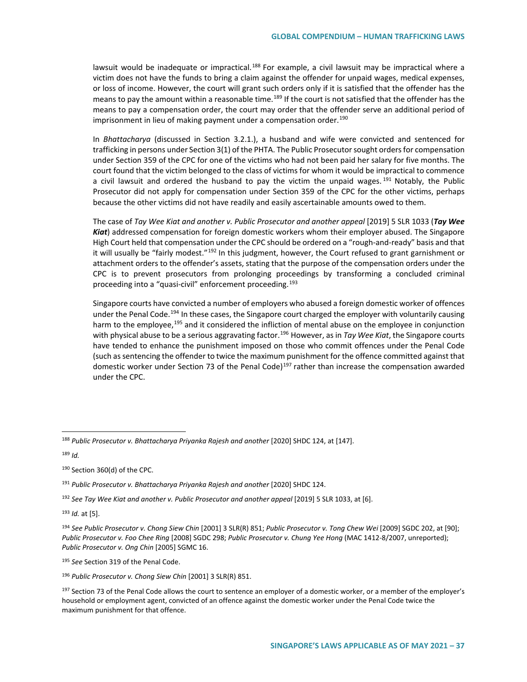lawsuit would be inadequate or impractical.<sup>[188](#page-36-0)</sup> For example, a civil lawsuit may be impractical where a victim does not have the funds to bring a claim against the offender for unpaid wages, medical expenses, or loss of income. However, the court will grant such orders only if it is satisfied that the offender has the means to pay the amount within a reasonable time.<sup>[189](#page-36-1)</sup> If the court is not satisfied that the offender has the means to pay a compensation order, the court may order that the offender serve an additional period of imprisonment in lieu of making payment under a compensation order.<sup>190</sup>

In *Bhattacharya* (discussed in Section 3.2.1.), a husband and wife were convicted and sentenced for trafficking in persons under Section 3(1) of the PHTA. The Public Prosecutor sought orders for compensation under Section 359 of the CPC for one of the victims who had not been paid her salary for five months. The court found that the victim belonged to the class of victims for whom it would be impractical to commence a civil lawsuit and ordered the husband to pay the victim the unpaid wages.  $191$  Notably, the Public Prosecutor did not apply for compensation under Section 359 of the CPC for the other victims, perhaps because the other victims did not have readily and easily ascertainable amounts owed to them.

The case of *Tay Wee Kiat and another v. Public Prosecutor and another appeal* [2019] 5 SLR 1033 (*Tay Wee Kiat*) addressed compensation for foreign domestic workers whom their employer abused. The Singapore High Court held that compensation under the CPC should be ordered on a "rough-and-ready" basis and that it will usually be "fairly modest."<sup>[192](#page-36-4)</sup> In this judgment, however, the Court refused to grant garnishment or attachment orders to the offender's assets, stating that the purpose of the compensation orders under the CPC is to prevent prosecutors from prolonging proceedings by transforming a concluded criminal proceeding into a "quasi-civil" enforcement proceeding.<sup>[193](#page-36-5)</sup>

Singapore courts have convicted a number of employers who abused a foreign domestic worker of offences under the Penal Code.<sup>[194](#page-36-6)</sup> In these cases, the Singapore court charged the employer with voluntarily causing harm to the employee,<sup>[195](#page-36-7)</sup> and it considered the infliction of mental abuse on the employee in conjunction with physical abuse to be a serious aggravating factor.[196](#page-36-8) However, as in *Tay Wee Kiat*, the Singapore courts have tended to enhance the punishment imposed on those who commit offences under the Penal Code (such as sentencing the offender to twice the maximum punishment for the offence committed against that domestic worker under Section 73 of the Penal Code)<sup>[197](#page-36-9)</sup> rather than increase the compensation awarded under the CPC.

<span id="page-36-1"></span><sup>189</sup> *Id.* 

<span id="page-36-5"></span><sup>193</sup> *Id.* at [5].

<span id="page-36-7"></span><sup>195</sup> *See* Section 319 of the Penal Code.

<span id="page-36-0"></span> <sup>188</sup> *Public Prosecutor v. Bhattacharya Priyanka Rajesh and another* [2020] SHDC 124, at [147].

<span id="page-36-2"></span><sup>190</sup> Section 360(d) of the CPC.

<span id="page-36-3"></span><sup>191</sup> *Public Prosecutor v. Bhattacharya Priyanka Rajesh and another* [2020] SHDC 124.

<span id="page-36-4"></span><sup>&</sup>lt;sup>192</sup> See Tay Wee Kiat and another v. Public Prosecutor and another appeal [2019] 5 SLR 1033, at [6].

<span id="page-36-6"></span><sup>194</sup> *See Public Prosecutor v. Chong Siew Chin* [2001] 3 SLR(R) 851; *Public Prosecutor v. Tong Chew Wei* [2009] SGDC 202, at [90]; *Public Prosecutor v. Foo Chee Ring* [2008] SGDC 298; *Public Prosecutor v. Chung Yee Hong* (MAC 1412-8/2007, unreported); *Public Prosecutor v. Ong Chin* [2005] SGMC 16.

<span id="page-36-8"></span><sup>196</sup> *Public Prosecutor v. Chong Siew Chin* [2001] 3 SLR(R) 851.

<span id="page-36-9"></span><sup>&</sup>lt;sup>197</sup> Section 73 of the Penal Code allows the court to sentence an employer of a domestic worker, or a member of the employer's household or employment agent, convicted of an offence against the domestic worker under the Penal Code twice the maximum punishment for that offence.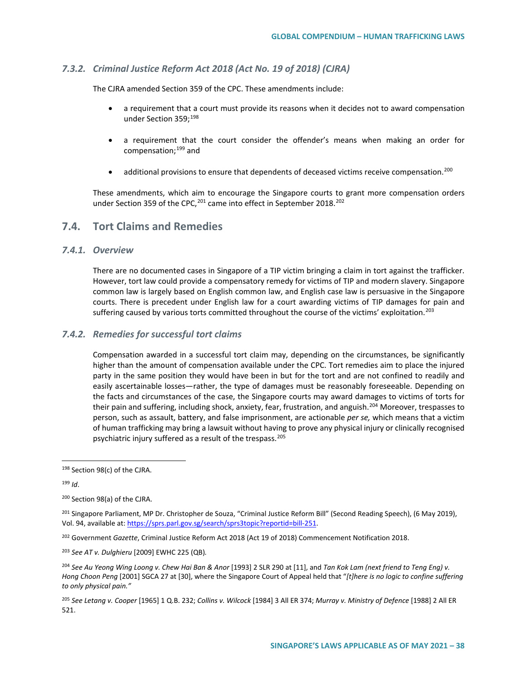## *7.3.2. Criminal Justice Reform Act 2018 (Act No. 19 of 2018) (CJRA)*

The CJRA amended Section 359 of the CPC. These amendments include:

- a requirement that a court must provide its reasons when it decides not to award compensation under Section 359;<sup>[198](#page-37-0)</sup>
- a requirement that the court consider the offender's means when making an order for compensation;[199](#page-37-1) and
- additional provisions to ensure that dependents of deceased victims receive compensation.<sup>[200](#page-37-2)</sup>

These amendments, which aim to encourage the Singapore courts to grant more compensation orders under Section 359 of the CPC, <sup>[201](#page-37-3)</sup> came into effect in September 2018.<sup>202</sup>

## **7.4. Tort Claims and Remedies**

## *7.4.1. Overview*

There are no documented cases in Singapore of a TIP victim bringing a claim in tort against the trafficker. However, tort law could provide a compensatory remedy for victims of TIP and modern slavery. Singapore common law is largely based on English common law, and English case law is persuasive in the Singapore courts. There is precedent under English law for a court awarding victims of TIP damages for pain and suffering caused by various torts committed throughout the course of the victims' exploitation.<sup>[203](#page-37-5)</sup>

#### *7.4.2. Remedies for successful tort claims*

Compensation awarded in a successful tort claim may, depending on the circumstances, be significantly higher than the amount of compensation available under the CPC. Tort remedies aim to place the injured party in the same position they would have been in but for the tort and are not confined to readily and easily ascertainable losses—rather, the type of damages must be reasonably foreseeable. Depending on the facts and circumstances of the case, the Singapore courts may award damages to victims of torts for their pain and suffering, including shock, anxiety, fear, frustration, and anguish.<sup>[204](#page-37-6)</sup> Moreover, trespasses to person, such as assault, battery, and false imprisonment, are actionable *per se,* which means that a victim of human trafficking may bring a lawsuit without having to prove any physical injury or clinically recognised psychiatric injury suffered as a result of the trespass.<sup>[205](#page-37-7)</sup>

<span id="page-37-0"></span><sup>198</sup> Section 98(c) of the CJRA.

<span id="page-37-1"></span><sup>199</sup> *Id*.

<span id="page-37-2"></span><sup>200</sup> Section 98(a) of the CJRA.

<span id="page-37-3"></span><sup>&</sup>lt;sup>201</sup> Singapore Parliament, MP Dr. Christopher de Souza, "Criminal Justice Reform Bill" (Second Reading Speech), (6 May 2019), Vol. 94, available at: [https://sprs.parl.gov.sg/search/sprs3topic?reportid=bill-251.](https://sprs.parl.gov.sg/search/sprs3topic?reportid=bill-251)

<span id="page-37-4"></span><sup>202</sup> Government *Gazette*, Criminal Justice Reform Act 2018 (Act 19 of 2018) Commencement Notification 2018.

<span id="page-37-5"></span><sup>203</sup> *See AT v. Dulghieru* [2009] EWHC 225 (QB)*.* 

<span id="page-37-6"></span><sup>&</sup>lt;sup>204</sup> See Au Yeong Wing Loong v. Chew Hai Ban & Anor [1993] 2 SLR 290 at [11], and *Tan Kok Lam (next friend to Teng Eng) v. Hong Choon Peng* [2001] SGCA 27 at [30], where the Singapore Court of Appeal held that "*[t]here is no logic to confine suffering to only physical pain."* 

<span id="page-37-7"></span><sup>205</sup> *See Letang v. Cooper* [1965] 1 Q.B. 232; *Collins v. Wilcock* [1984] 3 All ER 374; *Murray v. Ministry of Defence* [1988] 2 All ER 521.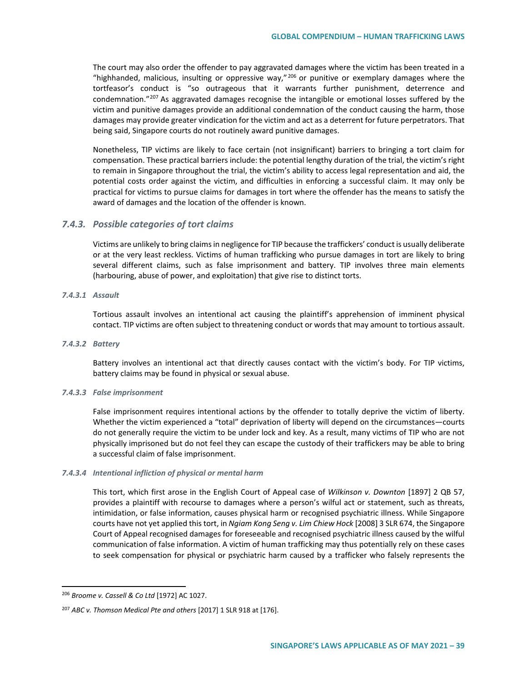The court may also order the offender to pay aggravated damages where the victim has been treated in a "highhanded, malicious, insulting or oppressive way,"  $^{206}$  $^{206}$  $^{206}$  or punitive or exemplary damages where the tortfeasor's conduct is "so outrageous that it warrants further punishment, deterrence and condemnation."<sup>[207](#page-38-1)</sup> As aggravated damages recognise the intangible or emotional losses suffered by the victim and punitive damages provide an additional condemnation of the conduct causing the harm, those damages may provide greater vindication for the victim and act as a deterrent for future perpetrators. That being said, Singapore courts do not routinely award punitive damages.

Nonetheless, TIP victims are likely to face certain (not insignificant) barriers to bringing a tort claim for compensation. These practical barriers include: the potential lengthy duration of the trial, the victim's right to remain in Singapore throughout the trial, the victim's ability to access legal representation and aid, the potential costs order against the victim, and difficulties in enforcing a successful claim. It may only be practical for victims to pursue claims for damages in tort where the offender has the means to satisfy the award of damages and the location of the offender is known.

## *7.4.3. Possible categories of tort claims*

Victims are unlikely to bring claims in negligence for TIP because the traffickers' conduct is usually deliberate or at the very least reckless. Victims of human trafficking who pursue damages in tort are likely to bring several different claims, such as false imprisonment and battery. TIP involves three main elements (harbouring, abuse of power, and exploitation) that give rise to distinct torts.

## *7.4.3.1 Assault*

Tortious assault involves an intentional act causing the plaintiff's apprehension of imminent physical contact. TIP victims are often subject to threatening conduct or words that may amount to tortious assault.

#### *7.4.3.2 Battery*

Battery involves an intentional act that directly causes contact with the victim's body. For TIP victims, battery claims may be found in physical or sexual abuse.

#### *7.4.3.3 False imprisonment*

False imprisonment requires intentional actions by the offender to totally deprive the victim of liberty. Whether the victim experienced a "total" deprivation of liberty will depend on the circumstances—courts do not generally require the victim to be under lock and key. As a result, many victims of TIP who are not physically imprisoned but do not feel they can escape the custody of their traffickers may be able to bring a successful claim of false imprisonment.

#### *7.4.3.4 Intentional infliction of physical or mental harm*

This tort, which first arose in the English Court of Appeal case of *Wilkinson v. Downton* [1897] 2 QB 57, provides a plaintiff with recourse to damages where a person's wilful act or statement, such as threats, intimidation, or false information, causes physical harm or recognised psychiatric illness. While Singapore courts have not yet applied this tort, in *Ngiam Kong Seng v. Lim Chiew Hock* [2008] 3 SLR 674, the Singapore Court of Appeal recognised damages for foreseeable and recognised psychiatric illness caused by the wilful communication of false information. A victim of human trafficking may thus potentially rely on these cases to seek compensation for physical or psychiatric harm caused by a trafficker who falsely represents the

<span id="page-38-0"></span> <sup>206</sup> *Broome v. Cassell & Co Ltd* [1972] AC 1027.

<span id="page-38-1"></span><sup>207</sup> *ABC v. Thomson Medical Pte and others* [2017] 1 SLR 918 at [176].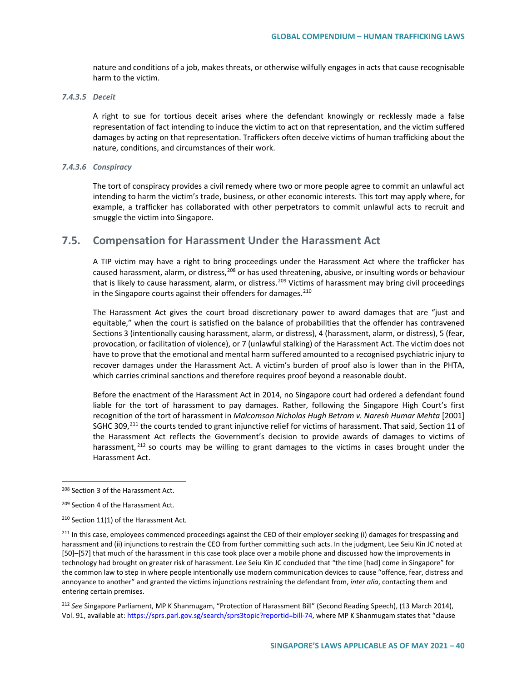nature and conditions of a job, makes threats, or otherwise wilfully engages in acts that cause recognisable harm to the victim.

#### *7.4.3.5 Deceit*

A right to sue for tortious deceit arises where the defendant knowingly or recklessly made a false representation of fact intending to induce the victim to act on that representation, and the victim suffered damages by acting on that representation. Traffickers often deceive victims of human trafficking about the nature, conditions, and circumstances of their work.

#### *7.4.3.6 Conspiracy*

The tort of conspiracy provides a civil remedy where two or more people agree to commit an unlawful act intending to harm the victim's trade, business, or other economic interests. This tort may apply where, for example, a trafficker has collaborated with other perpetrators to commit unlawful acts to recruit and smuggle the victim into Singapore.

# **7.5. Compensation for Harassment Under the Harassment Act**

A TIP victim may have a right to bring proceedings under the Harassment Act where the trafficker has caused harassment, alarm, or distress, <sup>[208](#page-39-0)</sup> or has used threatening, abusive, or insulting words or behaviour that is likely to cause harassment, alarm, or distress.<sup>[209](#page-39-1)</sup> Victims of harassment may bring civil proceedings in the Singapore courts against their offenders for damages. $210$ 

The Harassment Act gives the court broad discretionary power to award damages that are "just and equitable," when the court is satisfied on the balance of probabilities that the offender has contravened Sections 3 (intentionally causing harassment, alarm, or distress), 4 (harassment, alarm, or distress), 5 (fear, provocation, or facilitation of violence), or 7 (unlawful stalking) of the Harassment Act. The victim does not have to prove that the emotional and mental harm suffered amounted to a recognised psychiatric injury to recover damages under the Harassment Act. A victim's burden of proof also is lower than in the PHTA, which carries criminal sanctions and therefore requires proof beyond a reasonable doubt.

Before the enactment of the Harassment Act in 2014, no Singapore court had ordered a defendant found liable for the tort of harassment to pay damages. Rather, following the Singapore High Court's first recognition of the tort of harassment in *Malcomson Nicholas Hugh Betram v. Naresh Humar Mehta* [2001] SGHC 309,<sup>[211](#page-39-3)</sup> the courts tended to grant injunctive relief for victims of harassment. That said, Section 11 of the Harassment Act reflects the Government's decision to provide awards of damages to victims of harassment, <sup>[212](#page-39-4)</sup> so courts may be willing to grant damages to the victims in cases brought under the Harassment Act.

<span id="page-39-0"></span><sup>208</sup> Section 3 of the Harassment Act.

<span id="page-39-1"></span><sup>209</sup> Section 4 of the Harassment Act*.*

<span id="page-39-2"></span><sup>210</sup> Section 11(1) of the Harassment Act*.* 

<span id="page-39-3"></span><sup>&</sup>lt;sup>211</sup> In this case, employees commenced proceedings against the CEO of their employer seeking (i) damages for trespassing and harassment and (ii) injunctions to restrain the CEO from further committing such acts. In the judgment, Lee Seiu Kin JC noted at [50]–[57] that much of the harassment in this case took place over a mobile phone and discussed how the improvements in technology had brought on greater risk of harassment. Lee Seiu Kin JC concluded that "the time [had] come in Singapore" for the common law to step in where people intentionally use modern communication devices to cause "offence, fear, distress and annoyance to another" and granted the victims injunctions restraining the defendant from, *inter alia*, contacting them and entering certain premises.

<span id="page-39-4"></span><sup>212</sup> *See* Singapore Parliament, MP K Shanmugam, "Protection of Harassment Bill" (Second Reading Speech), (13 March 2014), Vol. 91, available at: [https://sprs.parl.gov.sg/search/sprs3topic?reportid=bill-74,](https://sprs.parl.gov.sg/search/sprs3topic?reportid=bill-74) where MP K Shanmugam states that "clause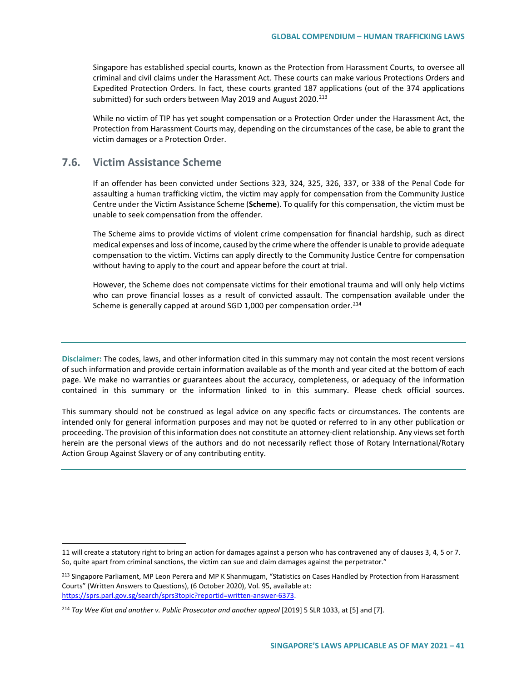Singapore has established special courts, known as the Protection from Harassment Courts, to oversee all criminal and civil claims under the Harassment Act. These courts can make various Protections Orders and Expedited Protection Orders. In fact, these courts granted 187 applications (out of the 374 applications submitted) for such orders between May 2019 and August 2020.<sup>[213](#page-40-0)</sup>

While no victim of TIP has yet sought compensation or a Protection Order under the Harassment Act, the Protection from Harassment Courts may, depending on the circumstances of the case, be able to grant the victim damages or a Protection Order.

## **7.6. Victim Assistance Scheme**

 $\overline{a}$ 

If an offender has been convicted under Sections 323, 324, 325, 326, 337, or 338 of the Penal Code for assaulting a human trafficking victim, the victim may apply for compensation from the Community Justice Centre under the Victim Assistance Scheme (**Scheme**). To qualify for this compensation, the victim must be unable to seek compensation from the offender.

The Scheme aims to provide victims of violent crime compensation for financial hardship, such as direct medical expenses and loss of income, caused by the crime where the offender is unable to provide adequate compensation to the victim. Victims can apply directly to the Community Justice Centre for compensation without having to apply to the court and appear before the court at trial.

However, the Scheme does not compensate victims for their emotional trauma and will only help victims who can prove financial losses as a result of convicted assault. The compensation available under the Scheme is generally capped at around SGD 1,000 per compensation order.<sup>[214](#page-40-1)</sup>

**Disclaimer:** The codes, laws, and other information cited in this summary may not contain the most recent versions of such information and provide certain information available as of the month and year cited at the bottom of each page. We make no warranties or guarantees about the accuracy, completeness, or adequacy of the information contained in this summary or the information linked to in this summary. Please check official sources.

This summary should not be construed as legal advice on any specific facts or circumstances. The contents are intended only for general information purposes and may not be quoted or referred to in any other publication or proceeding. The provision of this information does not constitute an attorney-client relationship. Any views set forth herein are the personal views of the authors and do not necessarily reflect those of Rotary International/Rotary Action Group Against Slavery or of any contributing entity.

<sup>11</sup> will create a statutory right to bring an action for damages against a person who has contravened any of clauses 3, 4, 5 or 7. So, quite apart from criminal sanctions, the victim can sue and claim damages against the perpetrator."

<span id="page-40-0"></span><sup>&</sup>lt;sup>213</sup> Singapore Parliament, MP Leon Perera and MP K Shanmugam, "Statistics on Cases Handled by Protection from Harassment Courts" (Written Answers to Questions), (6 October 2020), Vol. 95, available at: [https://sprs.parl.gov.sg/search/sprs3topic?reportid=written-answer-6373.](https://sprs.parl.gov.sg/search/sprs3topic?reportid=written-answer-6373)

<span id="page-40-1"></span><sup>&</sup>lt;sup>214</sup> Tay Wee Kiat and another v. Public Prosecutor and another appeal [2019] 5 SLR 1033, at [5] and [7].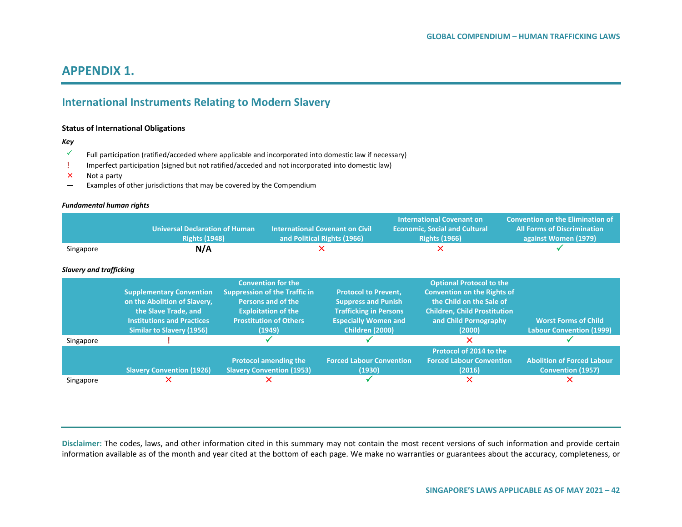# **APPENDIX 1.**

# **International Instruments Relating to Modern Slavery**

#### **Status of International Obligations**

#### *Key*

- Full participation (ratified/acceded where applicable and incorporated into domestic law if necessary)
- **!** Imperfect participation (signed but not ratified/acceded and not incorporated into domestic law)
- $\times$  Not a party
- **—** Examples of other jurisdictions that may be covered by the Compendium

#### *Fundamental human rights*

|                                | <b>Universal Declaration of Human</b><br><b>Rights (1948)</b>                                                                                                    |                                                                                                                                                                  | <b>International Covenant on Civil</b><br>and Political Rights (1966)                                                                        | <b>International Covenant on</b><br><b>Economic, Social and Cultural</b><br><b>Rights (1966)</b>                                                                            | <b>Convention on the Elimination of</b><br><b>All Forms of Discrimination</b><br>against Women (1979) |
|--------------------------------|------------------------------------------------------------------------------------------------------------------------------------------------------------------|------------------------------------------------------------------------------------------------------------------------------------------------------------------|----------------------------------------------------------------------------------------------------------------------------------------------|-----------------------------------------------------------------------------------------------------------------------------------------------------------------------------|-------------------------------------------------------------------------------------------------------|
| Singapore                      | N/A                                                                                                                                                              |                                                                                                                                                                  |                                                                                                                                              |                                                                                                                                                                             |                                                                                                       |
| <b>Slavery and trafficking</b> |                                                                                                                                                                  |                                                                                                                                                                  |                                                                                                                                              |                                                                                                                                                                             |                                                                                                       |
|                                | <b>Supplementary Convention</b><br>on the Abolition of Slavery,<br>the Slave Trade, and<br><b>Institutions and Practices</b><br><b>Similar to Slavery (1956)</b> | <b>Convention for the</b><br><b>Suppression of the Traffic in</b><br>Persons and of the<br><b>Exploitation of the</b><br><b>Prostitution of Others</b><br>(1949) | <b>Protocol to Prevent,</b><br><b>Suppress and Punish</b><br><b>Trafficking in Persons</b><br><b>Especially Women and</b><br>Children (2000) | <b>Optional Protocol to the</b><br><b>Convention on the Rights of</b><br>the Child on the Sale of<br><b>Children, Child Prostitution</b><br>and Child Pornography<br>(2000) | <b>Worst Forms of Child</b><br><b>Labour Convention (1999)</b>                                        |
| Singapore                      |                                                                                                                                                                  |                                                                                                                                                                  |                                                                                                                                              | ×                                                                                                                                                                           |                                                                                                       |
|                                | <b>Slavery Convention (1926)</b><br>x                                                                                                                            | <b>Protocol amending the</b><br><b>Slavery Convention (1953)</b><br>х                                                                                            | <b>Forced Labour Convention</b><br>(1930)                                                                                                    | Protocol of 2014 to the<br><b>Forced Labour Convention</b><br>(2016)<br>×                                                                                                   | <b>Abolition of Forced Labour</b><br><b>Convention (1957)</b><br>X                                    |
| Singapore                      |                                                                                                                                                                  |                                                                                                                                                                  |                                                                                                                                              |                                                                                                                                                                             |                                                                                                       |

**Disclaimer:** The codes, laws, and other information cited in this summary may not contain the most recent versions of such information and provide certain information available as of the month and year cited at the bottom of each page. We make no warranties or guarantees about the accuracy, completeness, or